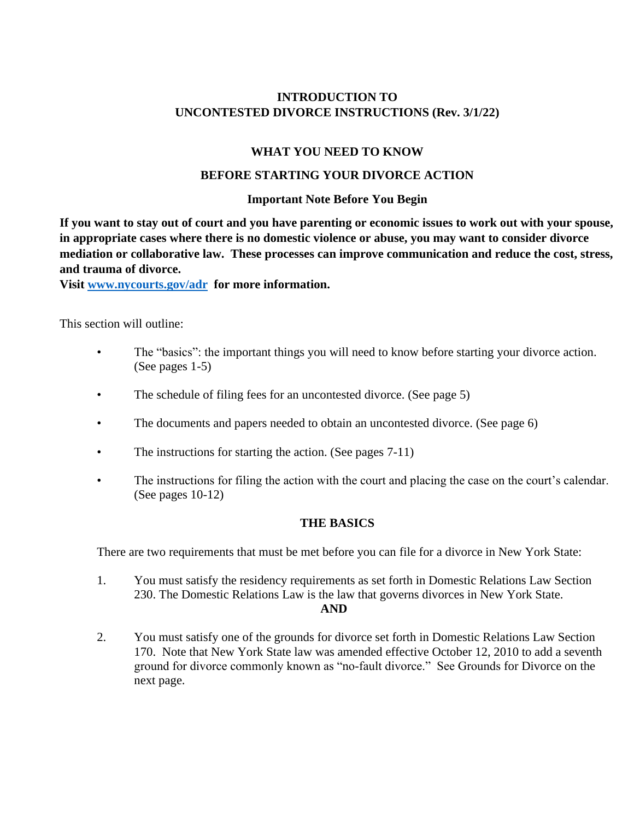## **INTRODUCTION TO UNCONTESTED DIVORCE INSTRUCTIONS (Rev. 3/1/22)**

#### **WHAT YOU NEED TO KNOW**

#### **BEFORE STARTING YOUR DIVORCE ACTION**

#### **Important Note Before You Begin**

**If you want to stay out of court and you have parenting or economic issues to work out with your spouse, in appropriate cases where there is no domestic violence or abuse, you may want to consider divorce mediation or collaborative law. These processes can improve communication and reduce the cost, stress, and trauma of divorce.** 

**Visit [www.nycourts.gov/adr](http://www.nycourts.gov/adr) for more information.**

This section will outline:

- The "basics": the important things you will need to know before starting your divorce action. (See pages 1-5)
- The schedule of filing fees for an uncontested divorce. (See page 5)
- The documents and papers needed to obtain an uncontested divorce. (See page 6)
- The instructions for starting the action. (See pages 7-11)
- The instructions for filing the action with the court and placing the case on the court's calendar. (See pages 10-12)

#### **THE BASICS**

There are two requirements that must be met before you can file for a divorce in New York State:

- 1. You must satisfy the residency requirements as set forth in Domestic Relations Law Section 230. The Domestic Relations Law is the law that governs divorces in New York State. **AND**
- 2. You must satisfy one of the grounds for divorce set forth in Domestic Relations Law Section 170. Note that New York State law was amended effective October 12, 2010 to add a seventh ground for divorce commonly known as "no-fault divorce." See Grounds for Divorce on the next page.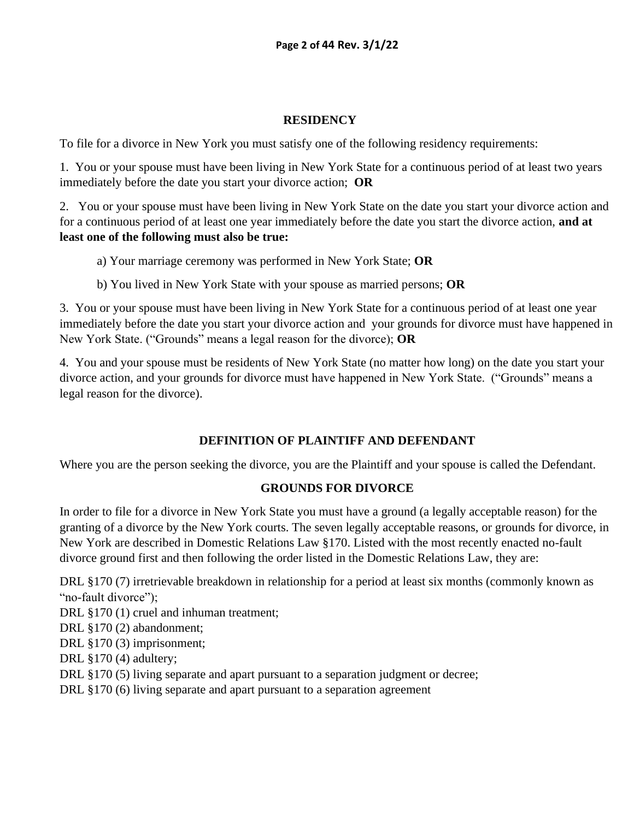## **RESIDENCY**

To file for a divorce in New York you must satisfy one of the following residency requirements:

1. You or your spouse must have been living in New York State for a continuous period of at least two years immediately before the date you start your divorce action; **OR**

2. You or your spouse must have been living in New York State on the date you start your divorce action and for a continuous period of at least one year immediately before the date you start the divorce action, **and at least one of the following must also be true:** 

- a) Your marriage ceremony was performed in New York State; **OR**
- b) You lived in New York State with your spouse as married persons; **OR**

3. You or your spouse must have been living in New York State for a continuous period of at least one year immediately before the date you start your divorce action and your grounds for divorce must have happened in New York State. ("Grounds" means a legal reason for the divorce); **OR**

4. You and your spouse must be residents of New York State (no matter how long) on the date you start your divorce action, and your grounds for divorce must have happened in New York State. ("Grounds" means a legal reason for the divorce).

## **DEFINITION OF PLAINTIFF AND DEFENDANT**

Where you are the person seeking the divorce, you are the Plaintiff and your spouse is called the Defendant.

## **GROUNDS FOR DIVORCE**

In order to file for a divorce in New York State you must have a ground (a legally acceptable reason) for the granting of a divorce by the New York courts. The seven legally acceptable reasons, or grounds for divorce, in New York are described in Domestic Relations Law §170. Listed with the most recently enacted no-fault divorce ground first and then following the order listed in the Domestic Relations Law, they are:

DRL §170 (7) irretrievable breakdown in relationship for a period at least six months (commonly known as "no-fault divorce");

DRL §170 (1) cruel and inhuman treatment;

DRL §170 (2) abandonment;

DRL §170 (3) imprisonment;

DRL §170 (4) adultery;

DRL §170 (5) living separate and apart pursuant to a separation judgment or decree;

DRL §170 (6) living separate and apart pursuant to a separation agreement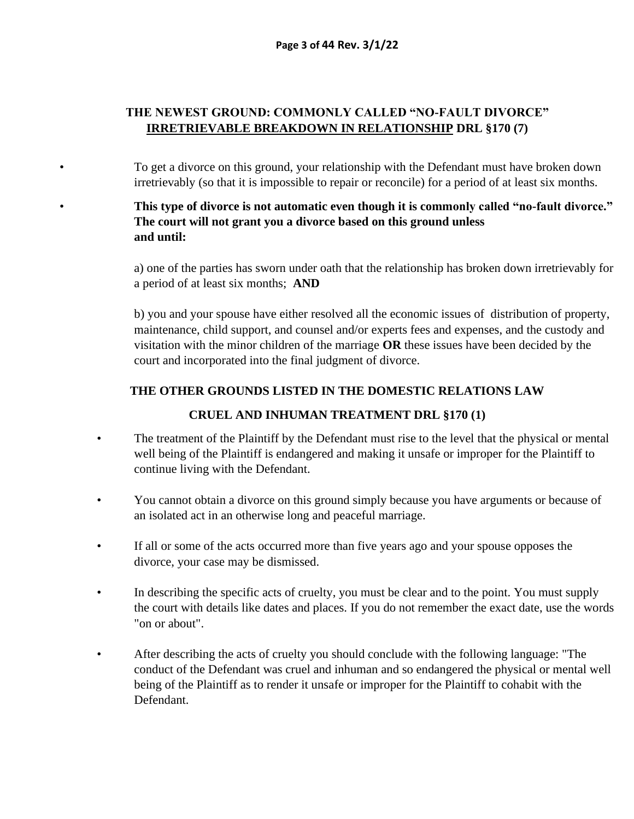### **THE NEWEST GROUND: COMMONLY CALLED "NO-FAULT DIVORCE" IRRETRIEVABLE BREAKDOWN IN RELATIONSHIP DRL §170 (7)**

• To get a divorce on this ground, your relationship with the Defendant must have broken down irretrievably (so that it is impossible to repair or reconcile) for a period of at least six months.

## • **This type of divorce is not automatic even though it is commonly called "no-fault divorce." The court will not grant you a divorce based on this ground unless and until:**

a) one of the parties has sworn under oath that the relationship has broken down irretrievably for a period of at least six months; **AND** 

b) you and your spouse have either resolved all the economic issues of distribution of property, maintenance, child support, and counsel and/or experts fees and expenses, and the custody and visitation with the minor children of the marriage **OR** these issues have been decided by the court and incorporated into the final judgment of divorce.

#### **THE OTHER GROUNDS LISTED IN THE DOMESTIC RELATIONS LAW**

#### **CRUEL AND INHUMAN TREATMENT DRL §170 (1)**

- The treatment of the Plaintiff by the Defendant must rise to the level that the physical or mental well being of the Plaintiff is endangered and making it unsafe or improper for the Plaintiff to continue living with the Defendant.
- You cannot obtain a divorce on this ground simply because you have arguments or because of an isolated act in an otherwise long and peaceful marriage.
- If all or some of the acts occurred more than five years ago and your spouse opposes the divorce, your case may be dismissed.
- In describing the specific acts of cruelty, you must be clear and to the point. You must supply the court with details like dates and places. If you do not remember the exact date, use the words "on or about".
- After describing the acts of cruelty you should conclude with the following language: "The conduct of the Defendant was cruel and inhuman and so endangered the physical or mental well being of the Plaintiff as to render it unsafe or improper for the Plaintiff to cohabit with the Defendant.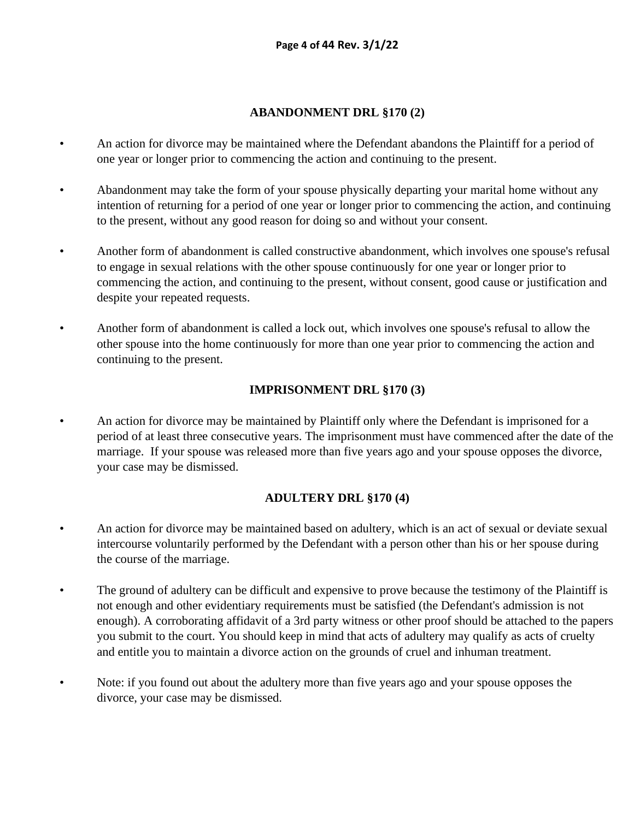#### **ABANDONMENT DRL §170 (2)**

- An action for divorce may be maintained where the Defendant abandons the Plaintiff for a period of one year or longer prior to commencing the action and continuing to the present.
- Abandonment may take the form of your spouse physically departing your marital home without any intention of returning for a period of one year or longer prior to commencing the action, and continuing to the present, without any good reason for doing so and without your consent.
- Another form of abandonment is called constructive abandonment, which involves one spouse's refusal to engage in sexual relations with the other spouse continuously for one year or longer prior to commencing the action, and continuing to the present, without consent, good cause or justification and despite your repeated requests.
- Another form of abandonment is called a lock out, which involves one spouse's refusal to allow the other spouse into the home continuously for more than one year prior to commencing the action and continuing to the present.

### **IMPRISONMENT DRL §170 (3)**

• An action for divorce may be maintained by Plaintiff only where the Defendant is imprisoned for a period of at least three consecutive years. The imprisonment must have commenced after the date of the marriage. If your spouse was released more than five years ago and your spouse opposes the divorce, your case may be dismissed.

#### **ADULTERY DRL §170 (4)**

- An action for divorce may be maintained based on adultery, which is an act of sexual or deviate sexual intercourse voluntarily performed by the Defendant with a person other than his or her spouse during the course of the marriage.
- The ground of adultery can be difficult and expensive to prove because the testimony of the Plaintiff is not enough and other evidentiary requirements must be satisfied (the Defendant's admission is not enough). A corroborating affidavit of a 3rd party witness or other proof should be attached to the papers you submit to the court. You should keep in mind that acts of adultery may qualify as acts of cruelty and entitle you to maintain a divorce action on the grounds of cruel and inhuman treatment.
- Note: if you found out about the adultery more than five years ago and your spouse opposes the divorce, your case may be dismissed.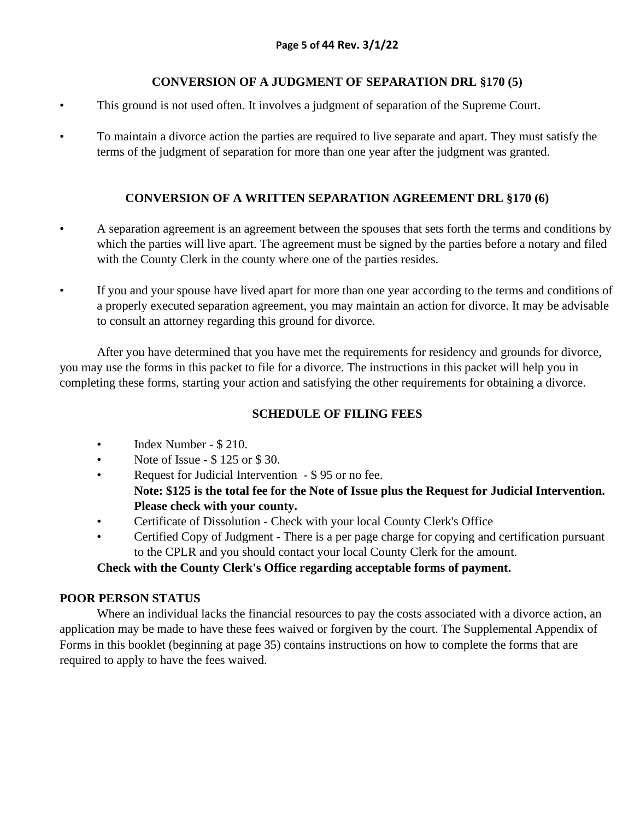## **CONVERSION OF A JUDGMENT OF SEPARATION DRL §170 (5)**

- This ground is not used often. It involves a judgment of separation of the Supreme Court.
- To maintain a divorce action the parties are required to live separate and apart. They must satisfy the terms of the judgment of separation for more than one year after the judgment was granted.

## **CONVERSION OF A WRITTEN SEPARATION AGREEMENT DRL §170 (6)**

- A separation agreement is an agreement between the spouses that sets forth the terms and conditions by which the parties will live apart. The agreement must be signed by the parties before a notary and filed with the County Clerk in the county where one of the parties resides.
- If you and your spouse have lived apart for more than one year according to the terms and conditions of a properly executed separation agreement, you may maintain an action for divorce. It may be advisable to consult an attorney regarding this ground for divorce.

After you have determined that you have met the requirements for residency and grounds for divorce, you may use the forms in this packet to file for a divorce. The instructions in this packet will help you in completing these forms, starting your action and satisfying the other requirements for obtaining a divorce.

## **SCHEDULE OF FILING FEES**

- Index Number \$ 210.
- Note of Issue \$125 or \$30.
- Request for Judicial Intervention \$95 or no fee.
	- **Note: \$125 is the total fee for the Note of Issue plus the Request for Judicial Intervention. Please check with your county.**
- Certificate of Dissolution Check with your local County Clerk's Office
- Certified Copy of Judgment There is a per page charge for copying and certification pursuant to the CPLR and you should contact your local County Clerk for the amount.

## **Check with the County Clerk's Office regarding acceptable forms of payment.**

## **POOR PERSON STATUS**

Where an individual lacks the financial resources to pay the costs associated with a divorce action, an application may be made to have these fees waived or forgiven by the court. The Supplemental Appendix of Forms in this booklet (beginning at page 35) contains instructions on how to complete the forms that are required to apply to have the fees waived.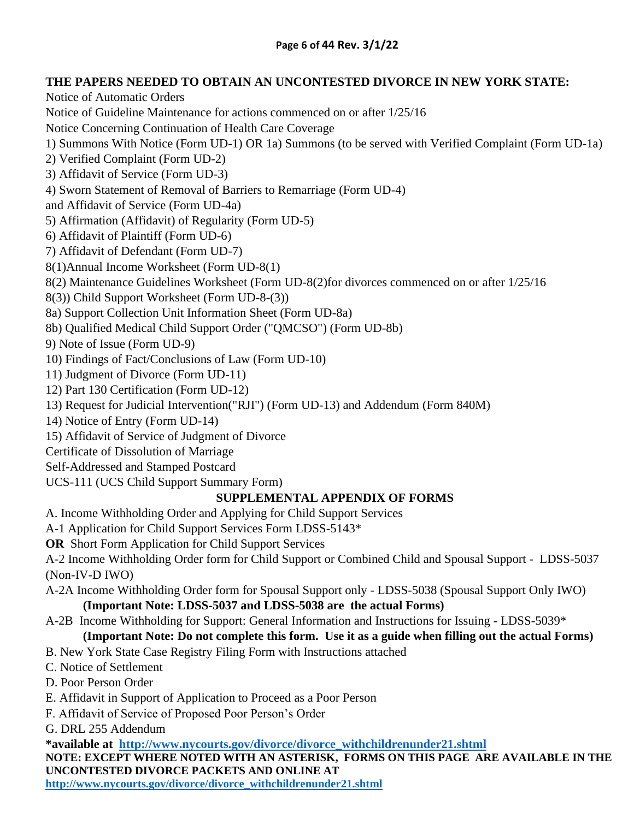## **THE PAPERS NEEDED TO OBTAIN AN UNCONTESTED DIVORCE IN NEW YORK STATE:**

Notice of Automatic Orders Notice of Guideline Maintenance for actions commenced on or after 1/25/16 Notice Concerning Continuation of Health Care Coverage 1) Summons With Notice (Form UD-1) OR 1a) Summons (to be served with Verified Complaint (Form UD-1a) 2) Verified Complaint (Form UD-2) 3) Affidavit of Service (Form UD-3) 4) Sworn Statement of Removal of Barriers to Remarriage (Form UD-4) and Affidavit of Service (Form UD-4a) 5) Affirmation (Affidavit) of Regularity (Form UD-5) 6) Affidavit of Plaintiff (Form UD-6) 7) Affidavit of Defendant (Form UD-7) 8(1)Annual Income Worksheet (Form UD-8(1) 8(2) Maintenance Guidelines Worksheet (Form UD-8(2)for divorces commenced on or after 1/25/16 8(3)) Child Support Worksheet (Form UD-8-(3)) 8a) Support Collection Unit Information Sheet (Form UD-8a) 8b) Qualified Medical Child Support Order ("QMCSO") (Form UD-8b) 9) Note of Issue (Form UD-9) 10) Findings of Fact/Conclusions of Law (Form UD-10) 11) Judgment of Divorce (Form UD-11) 12) Part 130 Certification (Form UD-12) 13) Request for Judicial Intervention("RJI") (Form UD-13) and Addendum (Form 840M) 14) Notice of Entry (Form UD-14) 15) Affidavit of Service of Judgment of Divorce Certificate of Dissolution of Marriage Self-Addressed and Stamped Postcard UCS-111 (UCS Child Support Summary Form)

## **SUPPLEMENTAL APPENDIX OF FORMS**

A. Income Withholding Order and Applying for Child Support Services

A-1 Application for Child Support Services Form LDSS-5143\*

**OR** Short Form Application for Child Support Services

A-2 Income Withholding Order form for Child Support or Combined Child and Spousal Support - LDSS-5037 (Non-IV-D IWO)

- A-2A Income Withholding Order form for Spousal Support only LDSS-5038 (Spousal Support Only IWO) **(Important Note: LDSS-5037 and LDSS-5038 are the actual Forms)**
- A-2B Income Withholding for Support: General Information and Instructions for Issuing LDSS-5039\*

## **(Important Note: Do not complete this form. Use it as a guide when filling out the actual Forms)**

- B. New York State Case Registry Filing Form with Instructions attached
- C. Notice of Settlement
- D. Poor Person Order
- E. Affidavit in Support of Application to Proceed as a Poor Person
- F. Affidavit of Service of Proposed Poor Person's Order
- G. DRL 255 Addendum

**\*available at [http://www.nycourts.gov/divorce/divorce\\_withchildrenunder21.shtml](http://www.nycourts.gov/divorce/divorce_withchildrenunder21.shtml)**

**NOTE: EXCEPT WHERE NOTED WITH AN ASTERISK, FORMS ON THIS PAGE ARE AVAILABLE IN THE UNCONTESTED DIVORCE PACKETS AND ONLINE AT** 

**[http://www.nycourts.gov/divorce/divorce\\_withchildrenunder21.shtml](http://www.nycourts.gov/divorce/divorce_withchildrenunder21.shtml)**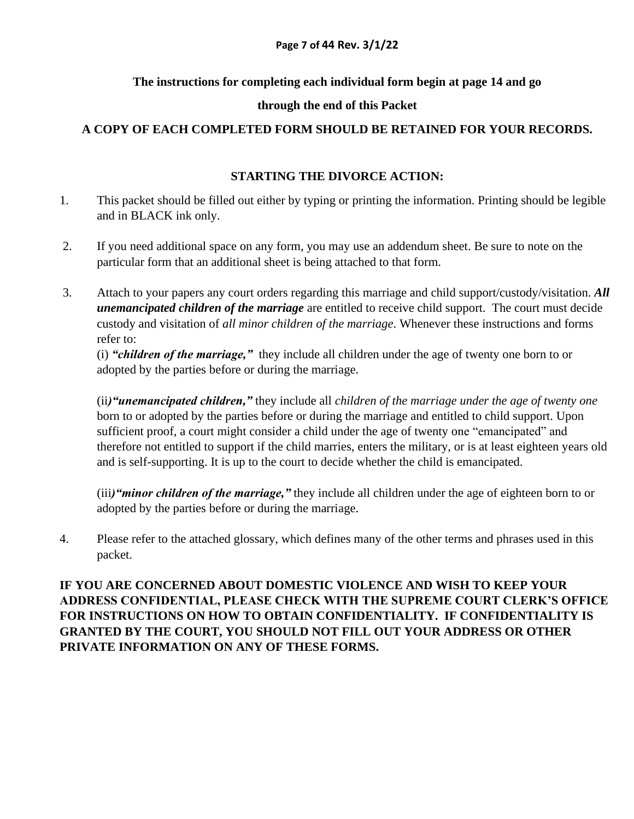#### **The instructions for completing each individual form begin at page 14 and go**

#### **through the end of this Packet**

### **A COPY OF EACH COMPLETED FORM SHOULD BE RETAINED FOR YOUR RECORDS.**

#### **STARTING THE DIVORCE ACTION:**

- 1. This packet should be filled out either by typing or printing the information. Printing should be legible and in BLACK ink only.
- 2. If you need additional space on any form, you may use an addendum sheet. Be sure to note on the particular form that an additional sheet is being attached to that form.
- 3. Attach to your papers any court orders regarding this marriage and child support/custody/visitation. *All unemancipated children of the marriage* are entitled to receive child support. The court must decide custody and visitation of *all minor children of the marriage*. Whenever these instructions and forms refer to:

(i) *"children of the marriage,"* they include all children under the age of twenty one born to or adopted by the parties before or during the marriage.

(ii*)"unemancipated children,"* they include all *children of the marriage under the age of twenty one*  born to or adopted by the parties before or during the marriage and entitled to child support. Upon sufficient proof, a court might consider a child under the age of twenty one "emancipated" and therefore not entitled to support if the child marries, enters the military, or is at least eighteen years old and is self-supporting. It is up to the court to decide whether the child is emancipated.

(iii*)"minor children of the marriage,"* they include all children under the age of eighteen born to or adopted by the parties before or during the marriage.

4. Please refer to the attached glossary, which defines many of the other terms and phrases used in this packet.

**IF YOU ARE CONCERNED ABOUT DOMESTIC VIOLENCE AND WISH TO KEEP YOUR ADDRESS CONFIDENTIAL, PLEASE CHECK WITH THE SUPREME COURT CLERK'S OFFICE FOR INSTRUCTIONS ON HOW TO OBTAIN CONFIDENTIALITY. IF CONFIDENTIALITY IS GRANTED BY THE COURT, YOU SHOULD NOT FILL OUT YOUR ADDRESS OR OTHER PRIVATE INFORMATION ON ANY OF THESE FORMS.**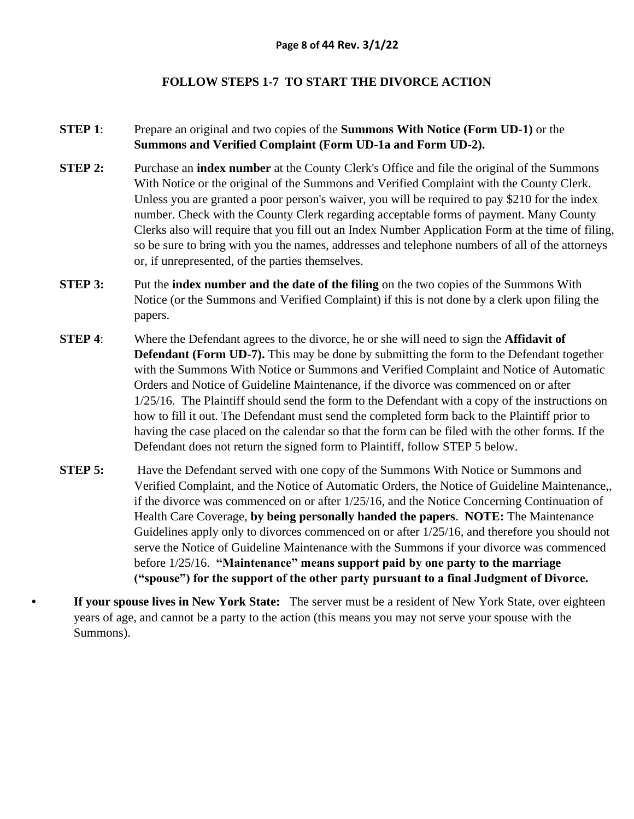#### **FOLLOW STEPS 1-7 TO START THE DIVORCE ACTION**

#### **STEP 1**: Prepare an original and two copies of the **Summons With Notice (Form UD-1)** or the **Summons and Verified Complaint (Form UD-1a and Form UD-2).**

- **STEP 2:** Purchase an **index number** at the County Clerk's Office and file the original of the Summons With Notice or the original of the Summons and Verified Complaint with the County Clerk. Unless you are granted a poor person's waiver, you will be required to pay \$210 for the index number. Check with the County Clerk regarding acceptable forms of payment. Many County Clerks also will require that you fill out an Index Number Application Form at the time of filing, so be sure to bring with you the names, addresses and telephone numbers of all of the attorneys or, if unrepresented, of the parties themselves.
- **STEP 3:** Put the **index number and the date of the filing** on the two copies of the Summons With Notice (or the Summons and Verified Complaint) if this is not done by a clerk upon filing the papers.
- **STEP 4**: Where the Defendant agrees to the divorce, he or she will need to sign the **Affidavit of Defendant (Form UD-7).** This may be done by submitting the form to the Defendant together with the Summons With Notice or Summons and Verified Complaint and Notice of Automatic Orders and Notice of Guideline Maintenance, if the divorce was commenced on or after 1/25/16. The Plaintiff should send the form to the Defendant with a copy of the instructions on how to fill it out. The Defendant must send the completed form back to the Plaintiff prior to having the case placed on the calendar so that the form can be filed with the other forms. If the Defendant does not return the signed form to Plaintiff, follow STEP 5 below.
- **STEP 5:** Have the Defendant served with one copy of the Summons With Notice or Summons and Verified Complaint, and the Notice of Automatic Orders, the Notice of Guideline Maintenance,, if the divorce was commenced on or after 1/25/16, and the Notice Concerning Continuation of Health Care Coverage, **by being personally handed the papers**. **NOTE:** The Maintenance Guidelines apply only to divorces commenced on or after 1/25/16, and therefore you should not serve the Notice of Guideline Maintenance with the Summons if your divorce was commenced before 1/25/16. **"Maintenance" means support paid by one party to the marriage ("spouse") for the support of the other party pursuant to a final Judgment of Divorce.**

**• If your spouse lives in New York State:** The server must be a resident of New York State, over eighteen years of age, and cannot be a party to the action (this means you may not serve your spouse with the Summons).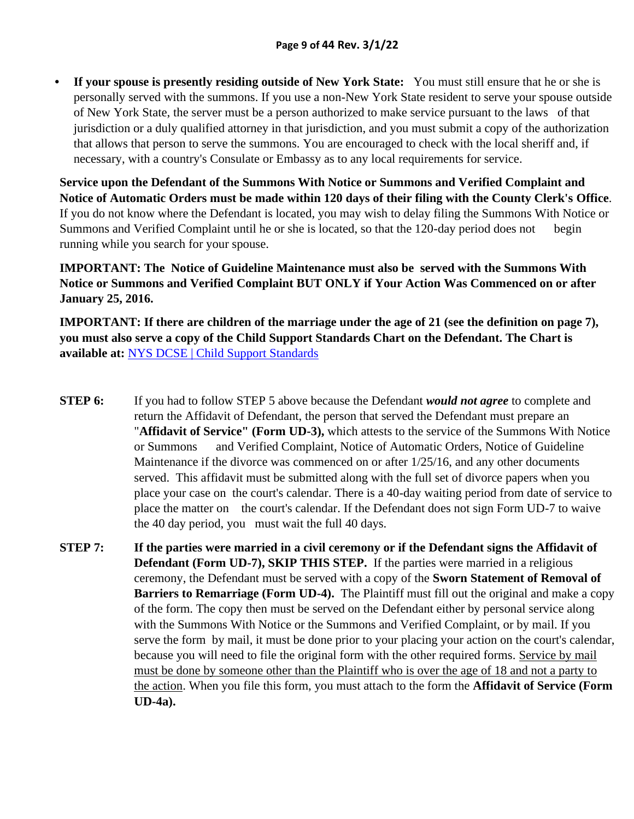**• If your spouse is presently residing outside of New York State:** You must still ensure that he or she is personally served with the summons. If you use a non-New York State resident to serve your spouse outside of New York State, the server must be a person authorized to make service pursuant to the laws of that jurisdiction or a duly qualified attorney in that jurisdiction, and you must submit a copy of the authorization that allows that person to serve the summons. You are encouraged to check with the local sheriff and, if necessary, with a country's Consulate or Embassy as to any local requirements for service.

**Service upon the Defendant of the Summons With Notice or Summons and Verified Complaint and Notice of Automatic Orders must be made within 120 days of their filing with the County Clerk's Office**. If you do not know where the Defendant is located, you may wish to delay filing the Summons With Notice or Summons and Verified Complaint until he or she is located, so that the 120-day period does not begin running while you search for your spouse.

## **IMPORTANT: The Notice of Guideline Maintenance must also be served with the Summons With Notice or Summons and Verified Complaint BUT ONLY if Your Action Was Commenced on or after January 25, 2016.**

**IMPORTANT: If there are children of the marriage under the age of 21 (see the definition on page 7), you must also serve a copy of the Child Support Standards Chart on the Defendant. The Chart is available at:** [NYS DCSE | Child Support Standards](https://www.childsupport.ny.gov/dcse/child_support_standards.html)

- **STEP 6:** If you had to follow STEP 5 above because the Defendant *would not agree* to complete and return the Affidavit of Defendant, the person that served the Defendant must prepare an "**Affidavit of Service" (Form UD-3),** which attests to the service of the Summons With Notice or Summons and Verified Complaint, Notice of Automatic Orders, Notice of Guideline Maintenance if the divorce was commenced on or after 1/25/16, and any other documents served. This affidavit must be submitted along with the full set of divorce papers when you place your case on the court's calendar. There is a 40-day waiting period from date of service to place the matter on the court's calendar. If the Defendant does not sign Form UD-7 to waive the 40 day period, you must wait the full 40 days.
- **STEP 7: If the parties were married in a civil ceremony or if the Defendant signs the Affidavit of Defendant (Form UD-7), SKIP THIS STEP.** If the parties were married in a religious ceremony, the Defendant must be served with a copy of the **Sworn Statement of Removal of Barriers to Remarriage (Form UD-4).** The Plaintiff must fill out the original and make a copy of the form. The copy then must be served on the Defendant either by personal service along with the Summons With Notice or the Summons and Verified Complaint, or by mail. If you serve the form by mail, it must be done prior to your placing your action on the court's calendar, because you will need to file the original form with the other required forms. Service by mail must be done by someone other than the Plaintiff who is over the age of 18 and not a party to the action. When you file this form, you must attach to the form the **Affidavit of Service (Form UD-4a).**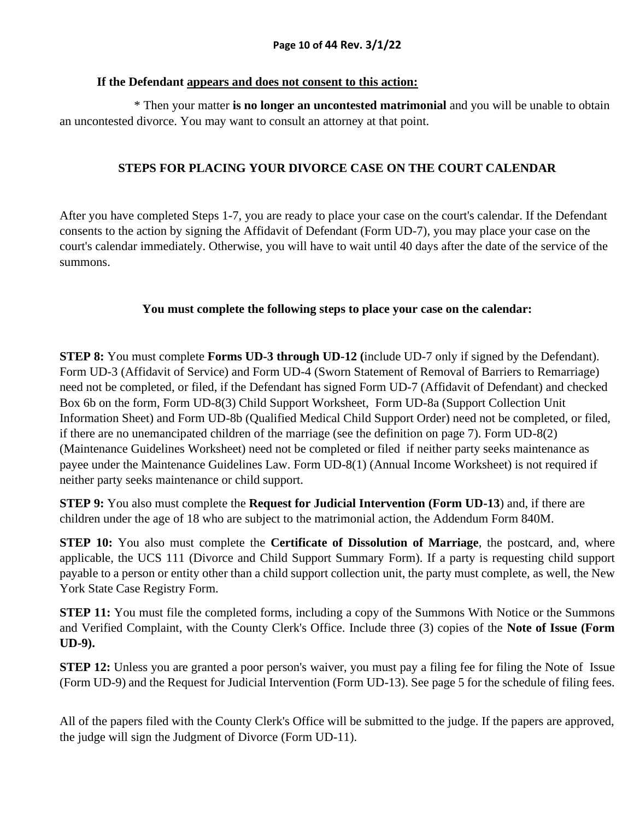#### **If the Defendant appears and does not consent to this action:**

 \* Then your matter **is no longer an uncontested matrimonial** and you will be unable to obtain an uncontested divorce. You may want to consult an attorney at that point.

## **STEPS FOR PLACING YOUR DIVORCE CASE ON THE COURT CALENDAR**

After you have completed Steps 1-7, you are ready to place your case on the court's calendar. If the Defendant consents to the action by signing the Affidavit of Defendant (Form UD-7), you may place your case on the court's calendar immediately. Otherwise, you will have to wait until 40 days after the date of the service of the summons.

### **You must complete the following steps to place your case on the calendar:**

**STEP 8:** You must complete **Forms UD-3 through UD-12 (**include UD-7 only if signed by the Defendant). Form UD-3 (Affidavit of Service) and Form UD-4 (Sworn Statement of Removal of Barriers to Remarriage) need not be completed, or filed, if the Defendant has signed Form UD-7 (Affidavit of Defendant) and checked Box 6b on the form, Form UD-8(3) Child Support Worksheet, Form UD-8a (Support Collection Unit Information Sheet) and Form UD-8b (Qualified Medical Child Support Order) need not be completed, or filed, if there are no unemancipated children of the marriage (see the definition on page 7). Form UD-8(2) (Maintenance Guidelines Worksheet) need not be completed or filed if neither party seeks maintenance as payee under the Maintenance Guidelines Law. Form UD-8(1) (Annual Income Worksheet) is not required if neither party seeks maintenance or child support.

**STEP 9:** You also must complete the **Request for Judicial Intervention (Form UD-13**) and, if there are children under the age of 18 who are subject to the matrimonial action, the Addendum Form 840M.

**STEP 10:** You also must complete the **Certificate of Dissolution of Marriage**, the postcard, and, where applicable, the UCS 111 (Divorce and Child Support Summary Form). If a party is requesting child support payable to a person or entity other than a child support collection unit, the party must complete, as well, the New York State Case Registry Form.

**STEP 11:** You must file the completed forms, including a copy of the Summons With Notice or the Summons and Verified Complaint, with the County Clerk's Office. Include three (3) copies of the **Note of Issue (Form UD-9).**

**STEP 12:** Unless you are granted a poor person's waiver, you must pay a filing fee for filing the Note of Issue (Form UD-9) and the Request for Judicial Intervention (Form UD-13). See page 5 for the schedule of filing fees.

All of the papers filed with the County Clerk's Office will be submitted to the judge. If the papers are approved, the judge will sign the Judgment of Divorce (Form UD-11).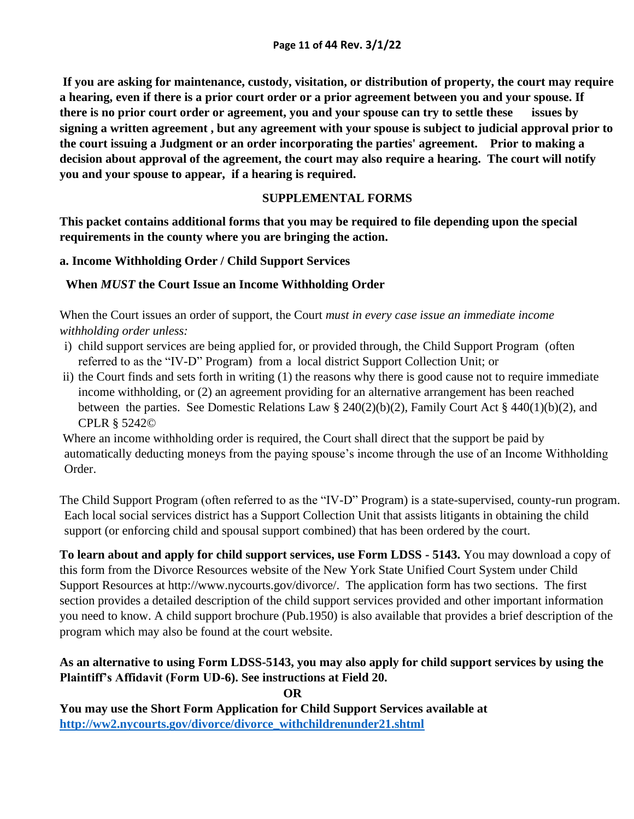**If you are asking for maintenance, custody, visitation, or distribution of property, the court may require a hearing, even if there is a prior court order or a prior agreement between you and your spouse. If there is no prior court order or agreement, you and your spouse can try to settle these issues by signing a written agreement , but any agreement with your spouse is subject to judicial approval prior to the court issuing a Judgment or an order incorporating the parties' agreement. Prior to making a decision about approval of the agreement, the court may also require a hearing. The court will notify you and your spouse to appear, if a hearing is required.** 

#### **SUPPLEMENTAL FORMS**

**This packet contains additional forms that you may be required to file depending upon the special requirements in the county where you are bringing the action.**

**a. Income Withholding Order / Child Support Services** 

## **When** *MUST* **the Court Issue an Income Withholding Order**

When the Court issues an order of support, the Court *must in every case issue an immediate income withholding order unless:*

- i) child support services are being applied for, or provided through, the Child Support Program (often referred to as the "IV-D" Program) from a local district Support Collection Unit; or
- ii) the Court finds and sets forth in writing (1) the reasons why there is good cause not to require immediate income withholding, or (2) an agreement providing for an alternative arrangement has been reached between the parties. See Domestic Relations Law § 240(2)(b)(2), Family Court Act § 440(1)(b)(2), and CPLR § 5242©

Where an income withholding order is required, the Court shall direct that the support be paid by automatically deducting moneys from the paying spouse's income through the use of an Income Withholding Order.

The Child Support Program (often referred to as the "IV-D" Program) is a state-supervised, county-run program. Each local social services district has a Support Collection Unit that assists litigants in obtaining the child support (or enforcing child and spousal support combined) that has been ordered by the court.

**To learn about and apply for child support services, use Form LDSS - 5143.** You may download a copy of this form from the Divorce Resources website of the New York State Unified Court System under Child Support Resources at http://www.nycourts.gov/divorce/. The application form has two sections. The first section provides a detailed description of the child support services provided and other important information you need to know. A child support brochure (Pub.1950) is also available that provides a brief description of the program which may also be found at the court website.

## **As an alternative to using Form LDSS-5143, you may also apply for child support services by using the Plaintiff's Affidavit (Form UD-6). See instructions at Field 20.**

**You may use the Short Form Application for Child Support Services available at [http://ww2.nycourts.gov/divorce/divorce\\_withchildrenunder21.shtml](http://ww2.nycourts.gov/divorce/divorce_withchildrenunder21.shtml)**

**OR**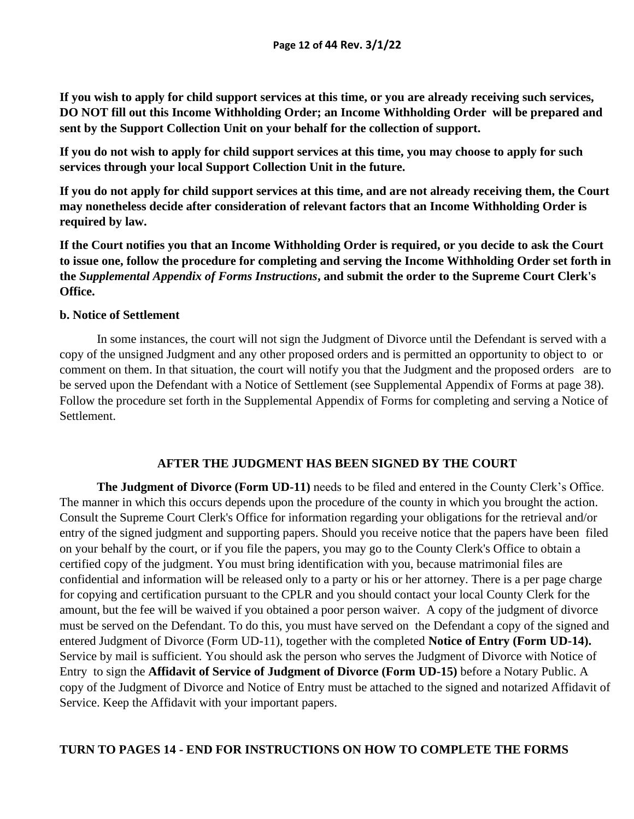**If you wish to apply for child support services at this time, or you are already receiving such services, DO NOT fill out this Income Withholding Order; an Income Withholding Order will be prepared and sent by the Support Collection Unit on your behalf for the collection of support.** 

**If you do not wish to apply for child support services at this time, you may choose to apply for such services through your local Support Collection Unit in the future.** 

**If you do not apply for child support services at this time, and are not already receiving them, the Court may nonetheless decide after consideration of relevant factors that an Income Withholding Order is required by law.**

**If the Court notifies you that an Income Withholding Order is required, or you decide to ask the Court to issue one, follow the procedure for completing and serving the Income Withholding Order set forth in the** *Supplemental Appendix of Forms Instructions***, and submit the order to the Supreme Court Clerk's Office.**

#### **b. Notice of Settlement**

In some instances, the court will not sign the Judgment of Divorce until the Defendant is served with a copy of the unsigned Judgment and any other proposed orders and is permitted an opportunity to object to or comment on them. In that situation, the court will notify you that the Judgment and the proposed orders are to be served upon the Defendant with a Notice of Settlement (see Supplemental Appendix of Forms at page 38). Follow the procedure set forth in the Supplemental Appendix of Forms for completing and serving a Notice of Settlement.

#### **AFTER THE JUDGMENT HAS BEEN SIGNED BY THE COURT**

**The Judgment of Divorce (Form UD-11)** needs to be filed and entered in the County Clerk's Office. The manner in which this occurs depends upon the procedure of the county in which you brought the action. Consult the Supreme Court Clerk's Office for information regarding your obligations for the retrieval and/or entry of the signed judgment and supporting papers. Should you receive notice that the papers have been filed on your behalf by the court, or if you file the papers, you may go to the County Clerk's Office to obtain a certified copy of the judgment. You must bring identification with you, because matrimonial files are confidential and information will be released only to a party or his or her attorney. There is a per page charge for copying and certification pursuant to the CPLR and you should contact your local County Clerk for the amount, but the fee will be waived if you obtained a poor person waiver. A copy of the judgment of divorce must be served on the Defendant. To do this, you must have served on the Defendant a copy of the signed and entered Judgment of Divorce (Form UD-11), together with the completed **Notice of Entry (Form UD-14).** Service by mail is sufficient. You should ask the person who serves the Judgment of Divorce with Notice of Entry to sign the **Affidavit of Service of Judgment of Divorce (Form UD-15)** before a Notary Public. A copy of the Judgment of Divorce and Notice of Entry must be attached to the signed and notarized Affidavit of Service. Keep the Affidavit with your important papers.

#### **TURN TO PAGES 14 - END FOR INSTRUCTIONS ON HOW TO COMPLETE THE FORMS**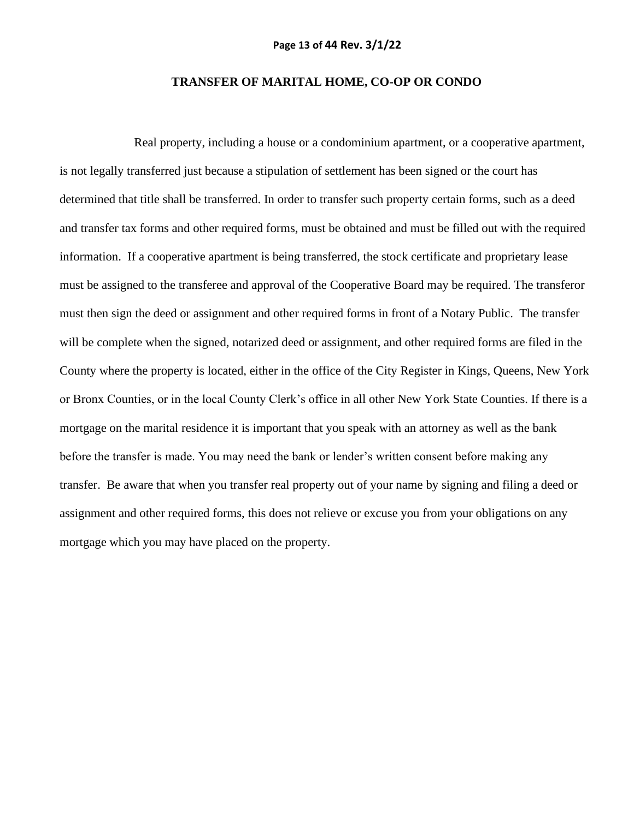#### **TRANSFER OF MARITAL HOME, CO-OP OR CONDO**

Real property, including a house or a condominium apartment, or a cooperative apartment, is not legally transferred just because a stipulation of settlement has been signed or the court has determined that title shall be transferred. In order to transfer such property certain forms, such as a deed and transfer tax forms and other required forms, must be obtained and must be filled out with the required information. If a cooperative apartment is being transferred, the stock certificate and proprietary lease must be assigned to the transferee and approval of the Cooperative Board may be required. The transferor must then sign the deed or assignment and other required forms in front of a Notary Public. The transfer will be complete when the signed, notarized deed or assignment, and other required forms are filed in the County where the property is located, either in the office of the City Register in Kings, Queens, New York or Bronx Counties, or in the local County Clerk's office in all other New York State Counties. If there is a mortgage on the marital residence it is important that you speak with an attorney as well as the bank before the transfer is made. You may need the bank or lender's written consent before making any transfer. Be aware that when you transfer real property out of your name by signing and filing a deed or assignment and other required forms, this does not relieve or excuse you from your obligations on any mortgage which you may have placed on the property.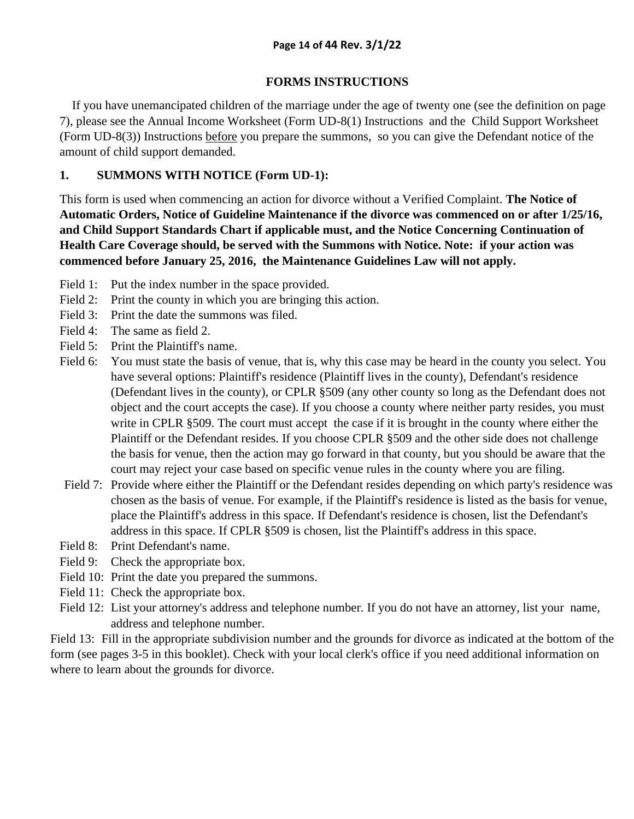### **FORMS INSTRUCTIONS**

 If you have unemancipated children of the marriage under the age of twenty one (see the definition on page 7), please see the Annual Income Worksheet (Form UD-8(1) Instructions and the Child Support Worksheet (Form UD-8(3)) Instructions before you prepare the summons, so you can give the Defendant notice of the amount of child support demanded.

## **1. SUMMONS WITH NOTICE (Form UD-1):**

This form is used when commencing an action for divorce without a Verified Complaint. **The Notice of Automatic Orders, Notice of Guideline Maintenance if the divorce was commenced on or after 1/25/16, and Child Support Standards Chart if applicable must, and the Notice Concerning Continuation of Health Care Coverage should, be served with the Summons with Notice. Note: if your action was commenced before January 25, 2016, the Maintenance Guidelines Law will not apply.** 

- Field 1: Put the index number in the space provided.
- Field 2: Print the county in which you are bringing this action.
- Field 3: Print the date the summons was filed.
- Field 4: The same as field 2.
- Field 5: Print the Plaintiff's name.
- Field 6: You must state the basis of venue, that is, why this case may be heard in the county you select. You have several options: Plaintiff's residence (Plaintiff lives in the county), Defendant's residence (Defendant lives in the county), or CPLR §509 (any other county so long as the Defendant does not object and the court accepts the case). If you choose a county where neither party resides, you must write in CPLR §509. The court must accept the case if it is brought in the county where either the Plaintiff or the Defendant resides. If you choose CPLR §509 and the other side does not challenge the basis for venue, then the action may go forward in that county, but you should be aware that the court may reject your case based on specific venue rules in the county where you are filing.
- Field 7: Provide where either the Plaintiff or the Defendant resides depending on which party's residence was chosen as the basis of venue. For example, if the Plaintiff's residence is listed as the basis for venue, place the Plaintiff's address in this space. If Defendant's residence is chosen, list the Defendant's address in this space. If CPLR §509 is chosen, list the Plaintiff's address in this space.
- Field 8: Print Defendant's name.
- Field 9: Check the appropriate box.
- Field 10: Print the date you prepared the summons.
- Field 11: Check the appropriate box.
- Field 12: List your attorney's address and telephone number. If you do not have an attorney, list your name, address and telephone number.

Field 13: Fill in the appropriate subdivision number and the grounds for divorce as indicated at the bottom of the form (see pages 3-5 in this booklet). Check with your local clerk's office if you need additional information on where to learn about the grounds for divorce.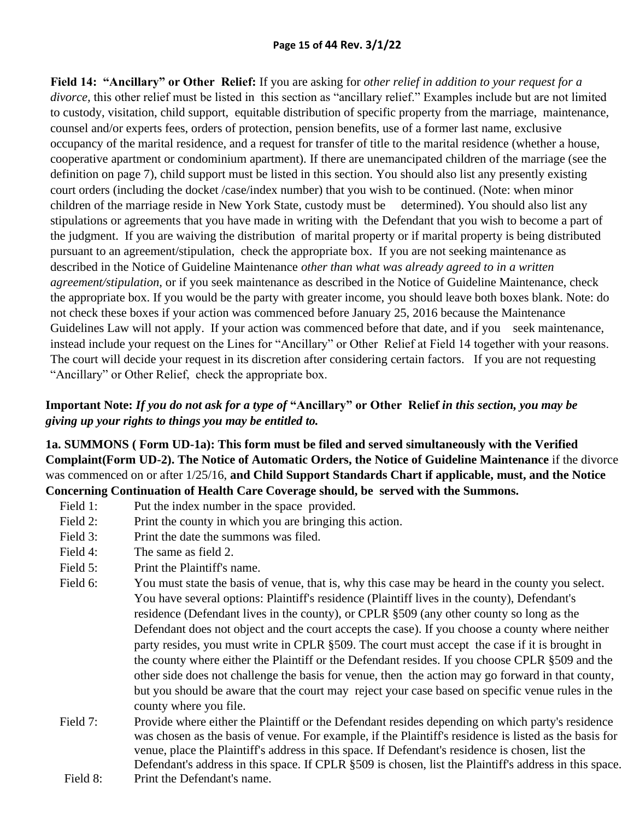**Field 14: "Ancillary" or Other Relief:** If you are asking for *other relief in addition to your request for a divorce,* this other relief must be listed in this section as "ancillary relief." Examples include but are not limited to custody, visitation, child support, equitable distribution of specific property from the marriage, maintenance, counsel and/or experts fees, orders of protection, pension benefits, use of a former last name, exclusive occupancy of the marital residence, and a request for transfer of title to the marital residence (whether a house, cooperative apartment or condominium apartment). If there are unemancipated children of the marriage (see the definition on page 7), child support must be listed in this section. You should also list any presently existing court orders (including the docket /case/index number) that you wish to be continued. (Note: when minor children of the marriage reside in New York State, custody must be determined). You should also list any stipulations or agreements that you have made in writing with the Defendant that you wish to become a part of the judgment. If you are waiving the distribution of marital property or if marital property is being distributed pursuant to an agreement/stipulation, check the appropriate box. If you are not seeking maintenance as described in the Notice of Guideline Maintenance *other than what was already agreed to in a written agreement/stipulation,* or if you seek maintenance as described in the Notice of Guideline Maintenance, check the appropriate box. If you would be the party with greater income, you should leave both boxes blank. Note: do not check these boxes if your action was commenced before January 25, 2016 because the Maintenance Guidelines Law will not apply. If your action was commenced before that date, and if you seek maintenance, instead include your request on the Lines for "Ancillary" or Other Relief at Field 14 together with your reasons. The court will decide your request in its discretion after considering certain factors. If you are not requesting "Ancillary" or Other Relief, check the appropriate box.

## **Important Note:** *If you do not ask for a type of* **"Ancillary" or Other Relief** *in this section, you may be giving up your rights to things you may be entitled to.*

**1a. SUMMONS ( Form UD-1a): This form must be filed and served simultaneously with the Verified Complaint(Form UD-2). The Notice of Automatic Orders, the Notice of Guideline Maintenance** if the divorce was commenced on or after 1/25/16, **and Child Support Standards Chart if applicable, must, and the Notice Concerning Continuation of Health Care Coverage should, be served with the Summons.**

- Field 1: Put the index number in the space provided.
- Field 2: Print the county in which you are bringing this action.
- Field 3: Print the date the summons was filed.
- Field 4: The same as field 2.
- Field 5: Print the Plaintiff's name.
- Field 6: You must state the basis of venue, that is, why this case may be heard in the county you select. You have several options: Plaintiff's residence (Plaintiff lives in the county), Defendant's residence (Defendant lives in the county), or CPLR §509 (any other county so long as the Defendant does not object and the court accepts the case). If you choose a county where neither party resides, you must write in CPLR §509. The court must accept the case if it is brought in the county where either the Plaintiff or the Defendant resides. If you choose CPLR §509 and the other side does not challenge the basis for venue, then the action may go forward in that county, but you should be aware that the court may reject your case based on specific venue rules in the county where you file.
- Field 7: Provide where either the Plaintiff or the Defendant resides depending on which party's residence was chosen as the basis of venue. For example, if the Plaintiff's residence is listed as the basis for venue, place the Plaintiff's address in this space. If Defendant's residence is chosen, list the Defendant's address in this space. If CPLR §509 is chosen, list the Plaintiff's address in this space.
- Field 8: Print the Defendant's name.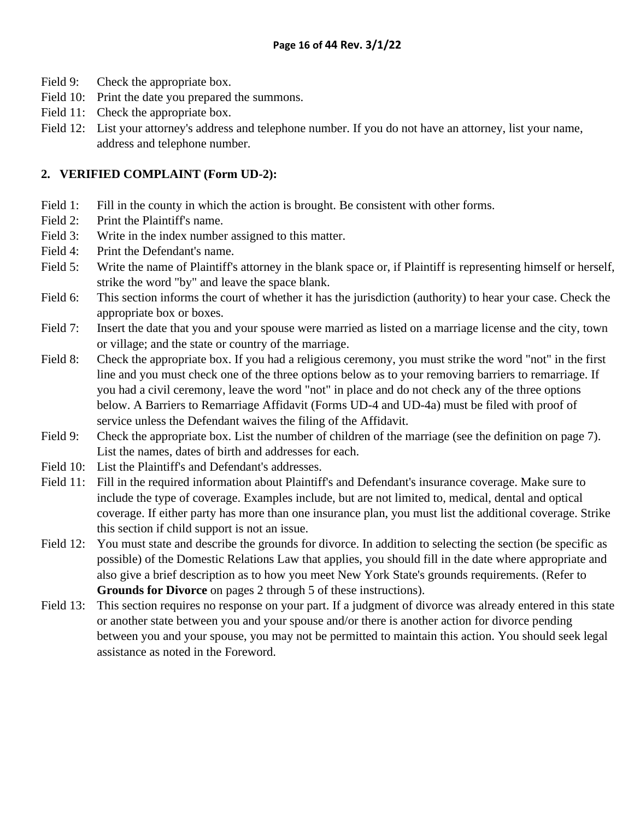- Field 9: Check the appropriate box.
- Field 10: Print the date you prepared the summons.
- Field 11: Check the appropriate box.
- Field 12: List your attorney's address and telephone number. If you do not have an attorney, list your name, address and telephone number.

### **2. VERIFIED COMPLAINT (Form UD-2):**

- Field 1: Fill in the county in which the action is brought. Be consistent with other forms.
- Field 2: Print the Plaintiff's name.
- Field 3: Write in the index number assigned to this matter.
- Field 4: Print the Defendant's name.
- Field 5: Write the name of Plaintiff's attorney in the blank space or, if Plaintiff is representing himself or herself, strike the word "by" and leave the space blank.
- Field 6: This section informs the court of whether it has the jurisdiction (authority) to hear your case. Check the appropriate box or boxes.
- Field 7: Insert the date that you and your spouse were married as listed on a marriage license and the city, town or village; and the state or country of the marriage.
- Field 8: Check the appropriate box. If you had a religious ceremony, you must strike the word "not" in the first line and you must check one of the three options below as to your removing barriers to remarriage. If you had a civil ceremony, leave the word "not" in place and do not check any of the three options below. A Barriers to Remarriage Affidavit (Forms UD-4 and UD-4a) must be filed with proof of service unless the Defendant waives the filing of the Affidavit.
- Field 9: Check the appropriate box. List the number of children of the marriage (see the definition on page 7). List the names, dates of birth and addresses for each.
- Field 10: List the Plaintiff's and Defendant's addresses.
- Field 11: Fill in the required information about Plaintiff's and Defendant's insurance coverage. Make sure to include the type of coverage. Examples include, but are not limited to, medical, dental and optical coverage. If either party has more than one insurance plan, you must list the additional coverage. Strike this section if child support is not an issue.
- Field 12: You must state and describe the grounds for divorce. In addition to selecting the section (be specific as possible) of the Domestic Relations Law that applies, you should fill in the date where appropriate and also give a brief description as to how you meet New York State's grounds requirements. (Refer to **Grounds for Divorce** on pages 2 through 5 of these instructions).
- Field 13: This section requires no response on your part. If a judgment of divorce was already entered in this state or another state between you and your spouse and/or there is another action for divorce pending between you and your spouse, you may not be permitted to maintain this action. You should seek legal assistance as noted in the Foreword.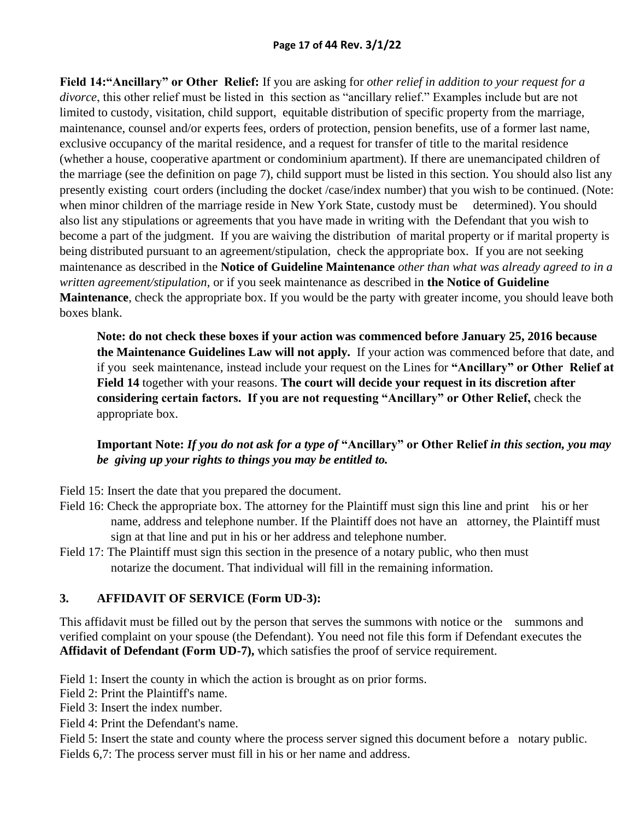**Field 14:"Ancillary" or Other Relief:** If you are asking for *other relief in addition to your request for a divorce*, this other relief must be listed in this section as "ancillary relief." Examples include but are not limited to custody, visitation, child support, equitable distribution of specific property from the marriage, maintenance, counsel and/or experts fees, orders of protection, pension benefits, use of a former last name, exclusive occupancy of the marital residence, and a request for transfer of title to the marital residence (whether a house, cooperative apartment or condominium apartment). If there are unemancipated children of the marriage (see the definition on page 7), child support must be listed in this section. You should also list any presently existing court orders (including the docket /case/index number) that you wish to be continued. (Note: when minor children of the marriage reside in New York State, custody must be determined). You should also list any stipulations or agreements that you have made in writing with the Defendant that you wish to become a part of the judgment. If you are waiving the distribution of marital property or if marital property is being distributed pursuant to an agreement/stipulation, check the appropriate box. If you are not seeking maintenance as described in the **Notice of Guideline Maintenance** *other than what was already agreed to in a written agreement/stipulation*, or if you seek maintenance as described in **the Notice of Guideline Maintenance**, check the appropriate box. If you would be the party with greater income, you should leave both boxes blank.

**Note: do not check these boxes if your action was commenced before January 25, 2016 because the Maintenance Guidelines Law will not apply.** If your action was commenced before that date, and if you seek maintenance, instead include your request on the Lines for **"Ancillary" or Other Relief at Field 14** together with your reasons. **The court will decide your request in its discretion after considering certain factors. If you are not requesting "Ancillary" or Other Relief,** check the appropriate box.

## **Important Note:** *If you do not ask for a type of* **"Ancillary" or Other Relief** *in this section, you may be giving up your rights to things you may be entitled to.*

- Field 15: Insert the date that you prepared the document.
- Field 16: Check the appropriate box. The attorney for the Plaintiff must sign this line and print his or her name, address and telephone number. If the Plaintiff does not have an attorney, the Plaintiff must sign at that line and put in his or her address and telephone number.
- Field 17: The Plaintiff must sign this section in the presence of a notary public, who then must notarize the document. That individual will fill in the remaining information.

#### **3. AFFIDAVIT OF SERVICE (Form UD-3):**

This affidavit must be filled out by the person that serves the summons with notice or the summons and verified complaint on your spouse (the Defendant). You need not file this form if Defendant executes the **Affidavit of Defendant (Form UD-7),** which satisfies the proof of service requirement.

Field 1: Insert the county in which the action is brought as on prior forms.

Field 2: Print the Plaintiff's name.

Field 3: Insert the index number.

Field 4: Print the Defendant's name.

Field 5: Insert the state and county where the process server signed this document before a notary public. Fields 6,7: The process server must fill in his or her name and address.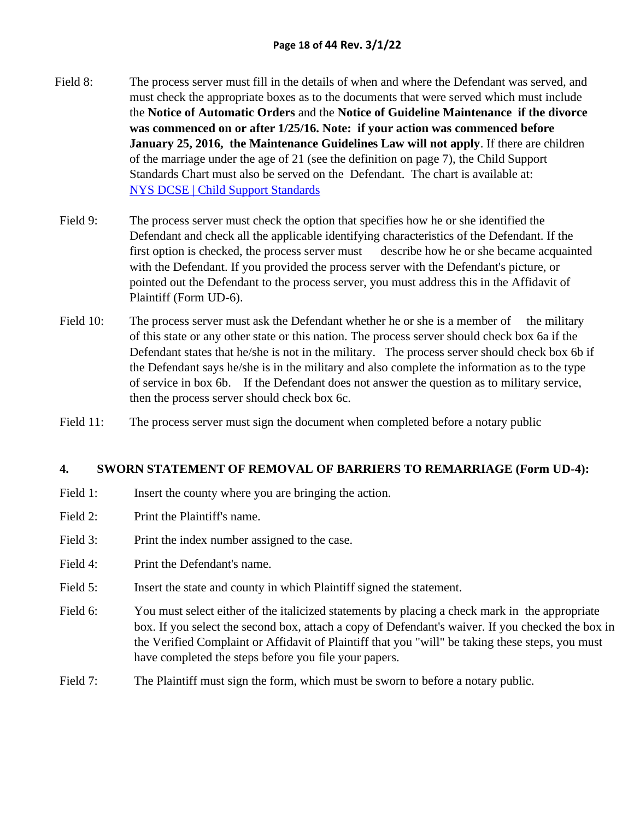- Field 8: The process server must fill in the details of when and where the Defendant was served, and must check the appropriate boxes as to the documents that were served which must include the **Notice of Automatic Orders** and the **Notice of Guideline Maintenance if the divorce was commenced on or after 1/25/16. Note: if your action was commenced before January 25, 2016, the Maintenance Guidelines Law will not apply**. If there are children of the marriage under the age of 21 (see the definition on page 7), the Child Support Standards Chart must also be served on the Defendant. The chart is available at: [NYS DCSE | Child Support Standards](https://www.childsupport.ny.gov/dcse/child_support_standards.html)
- Field 9: The process server must check the option that specifies how he or she identified the Defendant and check all the applicable identifying characteristics of the Defendant. If the first option is checked, the process server must describe how he or she became acquainted with the Defendant. If you provided the process server with the Defendant's picture, or pointed out the Defendant to the process server, you must address this in the Affidavit of Plaintiff (Form UD-6).
- Field 10: The process server must ask the Defendant whether he or she is a member of the military of this state or any other state or this nation. The process server should check box 6a if the Defendant states that he/she is not in the military. The process server should check box 6b if the Defendant says he/she is in the military and also complete the information as to the type of service in box 6b. If the Defendant does not answer the question as to military service, then the process server should check box 6c.
- Field 11: The process server must sign the document when completed before a notary public

#### **4. SWORN STATEMENT OF REMOVAL OF BARRIERS TO REMARRIAGE (Form UD-4):**

- Field 1: Insert the county where you are bringing the action.
- Field 2: Print the Plaintiff's name.
- Field 3: Print the index number assigned to the case.
- Field 4: Print the Defendant's name.
- Field 5: Insert the state and county in which Plaintiff signed the statement.
- Field 6: You must select either of the italicized statements by placing a check mark in the appropriate box. If you select the second box, attach a copy of Defendant's waiver. If you checked the box in the Verified Complaint or Affidavit of Plaintiff that you "will" be taking these steps, you must have completed the steps before you file your papers.
- Field 7: The Plaintiff must sign the form, which must be sworn to before a notary public.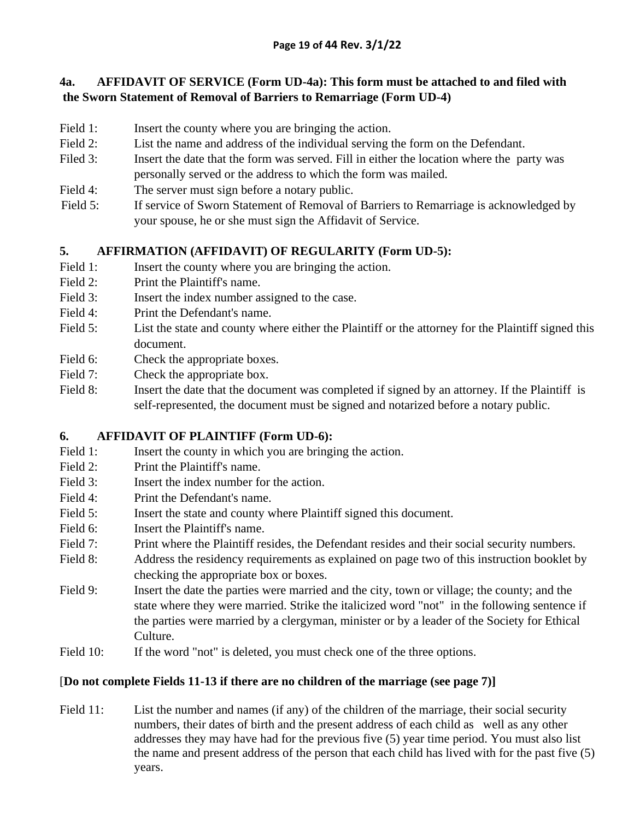## **4a. AFFIDAVIT OF SERVICE (Form UD-4a): This form must be attached to and filed with the Sworn Statement of Removal of Barriers to Remarriage (Form UD-4)**

- Field 1: Insert the county where you are bringing the action.
- Field 2: List the name and address of the individual serving the form on the Defendant.
- Filed 3: Insert the date that the form was served. Fill in either the location where the party was personally served or the address to which the form was mailed.
- Field 4: The server must sign before a notary public.
- Field 5: If service of Sworn Statement of Removal of Barriers to Remarriage is acknowledged by your spouse, he or she must sign the Affidavit of Service.

## **5. AFFIRMATION (AFFIDAVIT) OF REGULARITY (Form UD-5):**

- Field 1: Insert the county where you are bringing the action.
- Field 2: Print the Plaintiff's name.
- Field 3: Insert the index number assigned to the case.
- Field 4: Print the Defendant's name.
- Field 5: List the state and county where either the Plaintiff or the attorney for the Plaintiff signed this document.
- Field 6: Check the appropriate boxes.
- Field 7: Check the appropriate box.
- Field 8: Insert the date that the document was completed if signed by an attorney. If the Plaintiff is self-represented, the document must be signed and notarized before a notary public.

## **6. AFFIDAVIT OF PLAINTIFF (Form UD-6):**

- Field 1: Insert the county in which you are bringing the action.
- Field 2: Print the Plaintiff's name.
- Field 3: **Insert the index number for the action.**
- Field 4: Print the Defendant's name.
- Field 5: Insert the state and county where Plaintiff signed this document.
- Field 6: Insert the Plaintiff's name.
- Field 7: Print where the Plaintiff resides, the Defendant resides and their social security numbers.
- Field 8: Address the residency requirements as explained on page two of this instruction booklet by checking the appropriate box or boxes.
- Field 9: Insert the date the parties were married and the city, town or village; the county; and the state where they were married. Strike the italicized word "not" in the following sentence if the parties were married by a clergyman, minister or by a leader of the Society for Ethical Culture.
- Field 10: If the word "not" is deleted, you must check one of the three options.

## [**Do not complete Fields 11-13 if there are no children of the marriage (see page 7)]**

Field 11: List the number and names (if any) of the children of the marriage, their social security numbers, their dates of birth and the present address of each child as well as any other addresses they may have had for the previous five (5) year time period. You must also list the name and present address of the person that each child has lived with for the past five (5) years.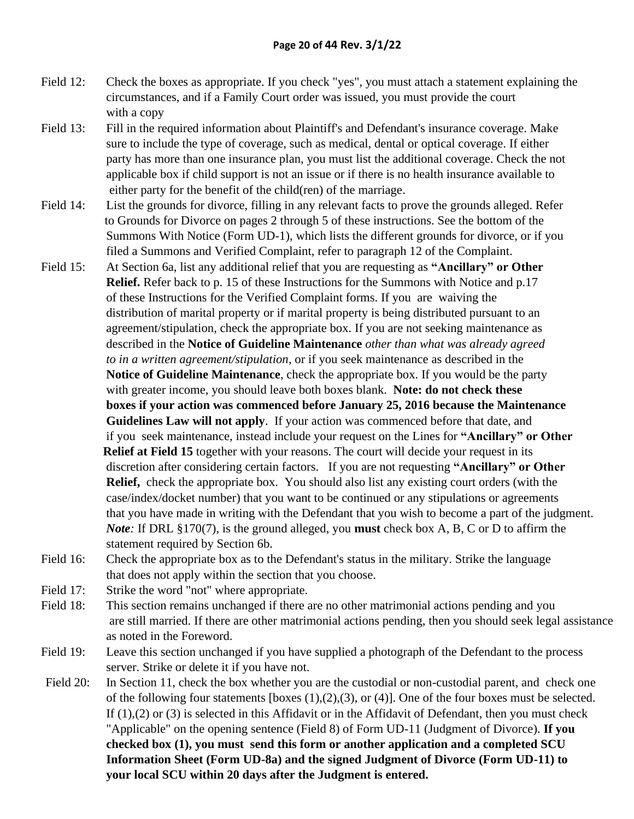- Field 12: Check the boxes as appropriate. If you check "yes", you must attach a statement explaining the circumstances, and if a Family Court order was issued, you must provide the court with a copy
- Field 13: Fill in the required information about Plaintiff's and Defendant's insurance coverage. Make sure to include the type of coverage, such as medical, dental or optical coverage. If either party has more than one insurance plan, you must list the additional coverage. Check the not applicable box if child support is not an issue or if there is no health insurance available to either party for the benefit of the child(ren) of the marriage.
- Field 14: List the grounds for divorce, filling in any relevant facts to prove the grounds alleged. Refer to Grounds for Divorce on pages 2 through 5 of these instructions. See the bottom of the Summons With Notice (Form UD-1), which lists the different grounds for divorce, or if you filed a Summons and Verified Complaint, refer to paragraph 12 of the Complaint.
- Field 15: At Section 6a, list any additional relief that you are requesting as **"Ancillary" or Other Relief.** Refer back to p. 15 of these Instructions for the Summons with Notice and p.17 of these Instructions for the Verified Complaint forms. If you are waiving the distribution of marital property or if marital property is being distributed pursuant to an agreement/stipulation, check the appropriate box. If you are not seeking maintenance as described in the **Notice of Guideline Maintenance** *other than what was already agreed to in a written agreement/stipulation*, or if you seek maintenance as described in the **Notice of Guideline Maintenance**, check the appropriate box. If you would be the party with greater income, you should leave both boxes blank. **Note: do not check these boxes if your action was commenced before January 25, 2016 because the Maintenance Guidelines Law will not apply**. If your action was commenced before that date, and if you seek maintenance, instead include your request on the Lines for **"Ancillary" or Other Relief at Field 15** together with your reasons. The court will decide your request in its discretion after considering certain factors. If you are not requesting **"Ancillary" or Other Relief,** check the appropriate box. You should also list any existing court orders (with the case/index/docket number) that you want to be continued or any stipulations or agreements that you have made in writing with the Defendant that you wish to become a part of the judgment. *Note:* If DRL §170(7), is the ground alleged, you **must** check box A, B, C or D to affirm the statement required by Section 6b.
- Field 16: Check the appropriate box as to the Defendant's status in the military. Strike the language that does not apply within the section that you choose.
- Field 17: Strike the word "not" where appropriate.
- Field 18: This section remains unchanged if there are no other matrimonial actions pending and you are still married. If there are other matrimonial actions pending, then you should seek legal assistance as noted in the Foreword.
- Field 19: Leave this section unchanged if you have supplied a photograph of the Defendant to the process server. Strike or delete it if you have not.
- Field 20: In Section 11, check the box whether you are the custodial or non-custodial parent, and check one of the following four statements [boxes (1),(2),(3), or (4)]. One of the four boxes must be selected. If (1),(2) or (3) is selected in this Affidavit or in the Affidavit of Defendant, then you must check "Applicable" on the opening sentence (Field 8) of Form UD-11 (Judgment of Divorce). **If you checked box (1), you must send this form or another application and a completed SCU Information Sheet (Form UD-8a) and the signed Judgment of Divorce (Form UD-11) to your local SCU within 20 days after the Judgment is entered.**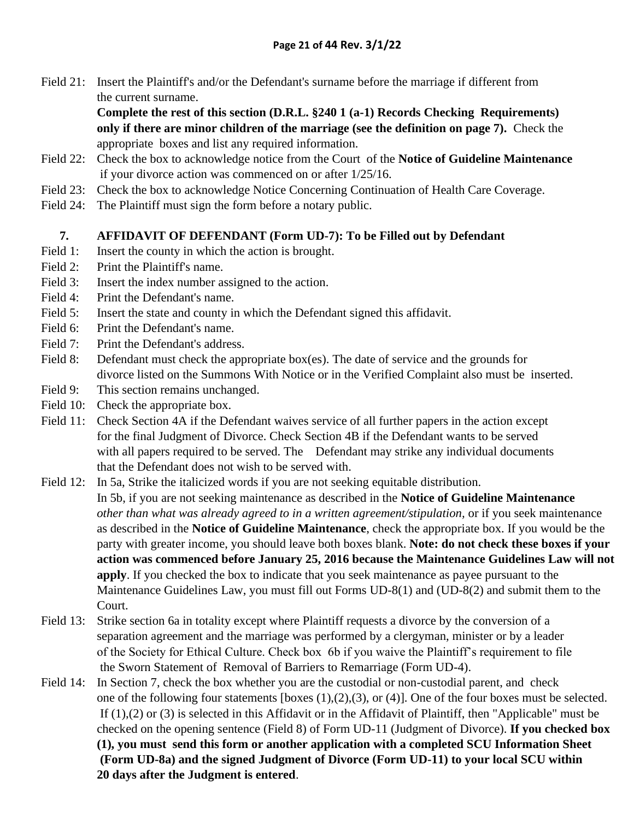Field 21: Insert the Plaintiff's and/or the Defendant's surname before the marriage if different from the current surname.

> **Complete the rest of this section (D.R.L. §240 1 (a-1) Records Checking Requirements) only if there are minor children of the marriage (see the definition on page 7).** Check the appropriate boxes and list any required information.

- Field 22: Check the box to acknowledge notice from the Court of the **Notice of Guideline Maintenance** if your divorce action was commenced on or after 1/25/16.
- Field 23: Check the box to acknowledge Notice Concerning Continuation of Health Care Coverage.
- Field 24: The Plaintiff must sign the form before a notary public.

### **7. AFFIDAVIT OF DEFENDANT (Form UD-7): To be Filled out by Defendant**

- Field 1: Insert the county in which the action is brought.
- Field 2: Print the Plaintiff's name.
- Field 3: Insert the index number assigned to the action.
- Field 4: Print the Defendant's name.
- Field 5: Insert the state and county in which the Defendant signed this affidavit.
- Field 6: Print the Defendant's name.
- Field 7: Print the Defendant's address.
- Field 8: Defendant must check the appropriate box(es). The date of service and the grounds for divorce listed on the Summons With Notice or in the Verified Complaint also must be inserted.
- Field 9: This section remains unchanged.
- Field 10: Check the appropriate box.
- Field 11: Check Section 4A if the Defendant waives service of all further papers in the action except for the final Judgment of Divorce. Check Section 4B if the Defendant wants to be served with all papers required to be served. The Defendant may strike any individual documents that the Defendant does not wish to be served with.
- Field 12: In 5a, Strike the italicized words if you are not seeking equitable distribution. In 5b, if you are not seeking maintenance as described in the **Notice of Guideline Maintenance** *other than what was already agreed to in a written agreement/stipulation,* or if you seek maintenance as described in the **Notice of Guideline Maintenance**, check the appropriate box. If you would be the party with greater income, you should leave both boxes blank. **Note: do not check these boxes if your action was commenced before January 25, 2016 because the Maintenance Guidelines Law will not apply**. If you checked the box to indicate that you seek maintenance as payee pursuant to the Maintenance Guidelines Law, you must fill out Forms UD-8(1) and (UD-8(2) and submit them to the Court.
- Field 13: Strike section 6a in totality except where Plaintiff requests a divorce by the conversion of a separation agreement and the marriage was performed by a clergyman, minister or by a leader of the Society for Ethical Culture. Check box 6b if you waive the Plaintiff's requirement to file the Sworn Statement of Removal of Barriers to Remarriage (Form UD-4).
- Field 14: In Section 7, check the box whether you are the custodial or non-custodial parent, and check one of the following four statements [boxes (1),(2),(3), or (4)]. One of the four boxes must be selected. If (1),(2) or (3) is selected in this Affidavit or in the Affidavit of Plaintiff, then "Applicable" must be checked on the opening sentence (Field 8) of Form UD-11 (Judgment of Divorce). **If you checked box (1), you must send this form or another application with a completed SCU Information Sheet (Form UD-8a) and the signed Judgment of Divorce (Form UD-11) to your local SCU within 20 days after the Judgment is entered**.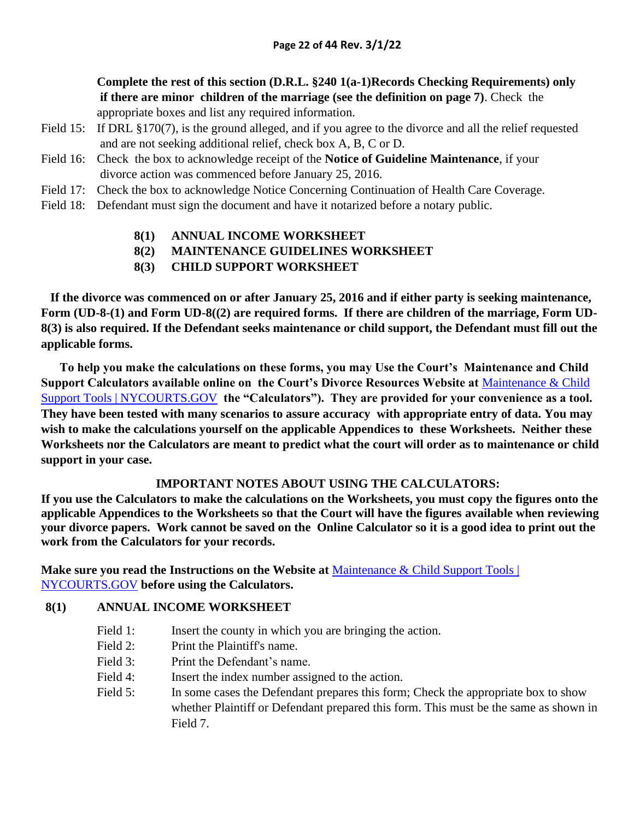#### **Complete the rest of this section (D.R.L. §240 1(a-1)Records Checking Requirements) only if there are minor children of the marriage (see the definition on page 7)**. Check the appropriate boxes and list any required information.

- Field 15: If DRL §170(7), is the ground alleged, and if you agree to the divorce and all the relief requested and are not seeking additional relief, check box A, B, C or D.
- Field 16: Check the box to acknowledge receipt of the **Notice of Guideline Maintenance**, if your divorce action was commenced before January 25, 2016.
- Field 17: Check the box to acknowledge Notice Concerning Continuation of Health Care Coverage.
- Field 18: Defendant must sign the document and have it notarized before a notary public.
	- **8(1) ANNUAL INCOME WORKSHEET**
	- **8(2) MAINTENANCE GUIDELINES WORKSHEET**
	- **8(3) CHILD SUPPORT WORKSHEET**

 **If the divorce was commenced on or after January 25, 2016 and if either party is seeking maintenance, Form (UD-8-(1) and Form UD-8((2) are required forms. If there are children of the marriage, Form UD-8(3) is also required. If the Defendant seeks maintenance or child support, the Defendant must fill out the applicable forms.**

**To help you make the calculations on these forms, you may Use the Court's Maintenance and Child Support Calculators available online on the Court's Divorce Resources Website at** [Maintenance & Child](http://ww2.nycourts.gov/divorce/MaintenanceChildSupportTools.shtml)  [Support Tools | NYCOURTS.GOV](http://ww2.nycourts.gov/divorce/MaintenanceChildSupportTools.shtml) **the "Calculators"). They are provided for your convenience as a tool. They have been tested with many scenarios to assure accuracy with appropriate entry of data. You may wish to make the calculations yourself on the applicable Appendices to these Worksheets. Neither these Worksheets nor the Calculators are meant to predict what the court will order as to maintenance or child support in your case.**

#### **IMPORTANT NOTES ABOUT USING THE CALCULATORS:**

**If you use the Calculators to make the calculations on the Worksheets, you must copy the figures onto the applicable Appendices to the Worksheets so that the Court will have the figures available when reviewing your divorce papers. Work cannot be saved on the Online Calculator so it is a good idea to print out the work from the Calculators for your records.** 

**Make sure you read the Instructions on the Website at** [Maintenance & Child Support Tools |](http://ww2.nycourts.gov/divorce/MaintenanceChildSupportTools.shtml)  [NYCOURTS.GOV](http://ww2.nycourts.gov/divorce/MaintenanceChildSupportTools.shtml) **before using the Calculators.** 

#### **8(1) ANNUAL INCOME WORKSHEET**

- Field 1: Insert the county in which you are bringing the action.
- Field 2: Print the Plaintiff's name.
- Field 3: Print the Defendant's name.
- Field 4: Insert the index number assigned to the action.
- Field 5: In some cases the Defendant prepares this form; Check the appropriate box to show whether Plaintiff or Defendant prepared this form. This must be the same as shown in Field 7.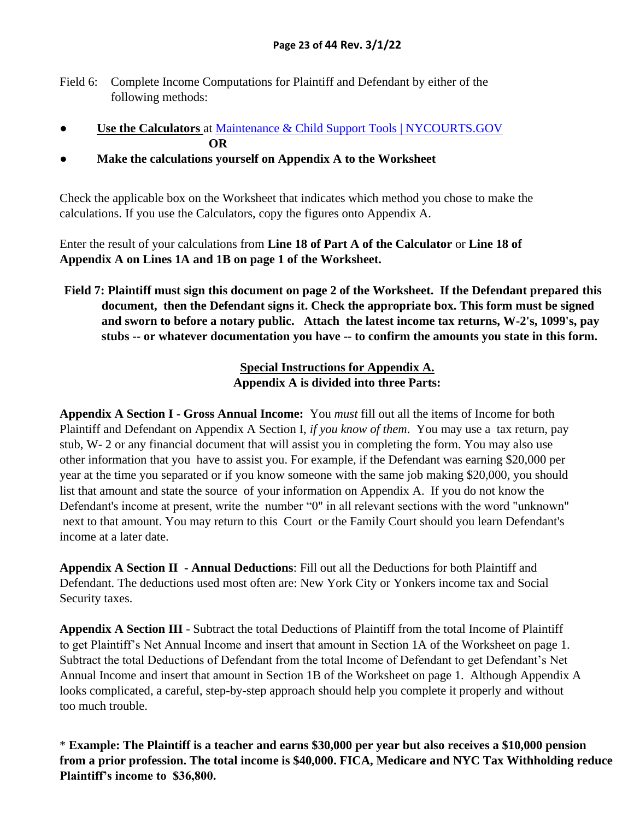- Field 6: Complete Income Computations for Plaintiff and Defendant by either of the following methods:
- **Use the Calculators** at [Maintenance & Child Support Tools | NYCOURTS.GOV](http://ww2.nycourts.gov/divorce/MaintenanceChildSupportTools.shtml) **OR**
- **● Make the calculations yourself on Appendix A to the Worksheet**

Check the applicable box on the Worksheet that indicates which method you chose to make the calculations. If you use the Calculators, copy the figures onto Appendix A.

Enter the result of your calculations from **Line 18 of Part A of the Calculator** or **Line 18 of Appendix A on Lines 1A and 1B on page 1 of the Worksheet.**

**Field 7: Plaintiff must sign this document on page 2 of the Worksheet. If the Defendant prepared this document, then the Defendant signs it. Check the appropriate box. This form must be signed and sworn to before a notary public. Attach the latest income tax returns, W-2's, 1099's, pay stubs -- or whatever documentation you have -- to confirm the amounts you state in this form.**

## **Special Instructions for Appendix A. Appendix A is divided into three Parts:**

**Appendix A Section I - Gross Annual Income:** You *must* fill out all the items of Income for both Plaintiff and Defendant on Appendix A Section I, *if you know of them*. You may use a tax return, pay stub, W- 2 or any financial document that will assist you in completing the form. You may also use other information that you have to assist you. For example, if the Defendant was earning \$20,000 per year at the time you separated or if you know someone with the same job making \$20,000, you should list that amount and state the source of your information on Appendix A. If you do not know the Defendant's income at present, write the number "0" in all relevant sections with the word "unknown" next to that amount. You may return to this Court or the Family Court should you learn Defendant's income at a later date.

**Appendix A Section II - Annual Deductions**: Fill out all the Deductions for both Plaintiff and Defendant. The deductions used most often are: New York City or Yonkers income tax and Social Security taxes.

**Appendix A Section III** - Subtract the total Deductions of Plaintiff from the total Income of Plaintiff to get Plaintiff's Net Annual Income and insert that amount in Section 1A of the Worksheet on page 1. Subtract the total Deductions of Defendant from the total Income of Defendant to get Defendant's Net Annual Income and insert that amount in Section 1B of the Worksheet on page 1. Although Appendix A looks complicated, a careful, step-by-step approach should help you complete it properly and without too much trouble.

\* **Example: The Plaintiff is a teacher and earns \$30,000 per year but also receives a \$10,000 pension from a prior profession. The total income is \$40,000. FICA, Medicare and NYC Tax Withholding reduce Plaintiff's income to \$36,800.**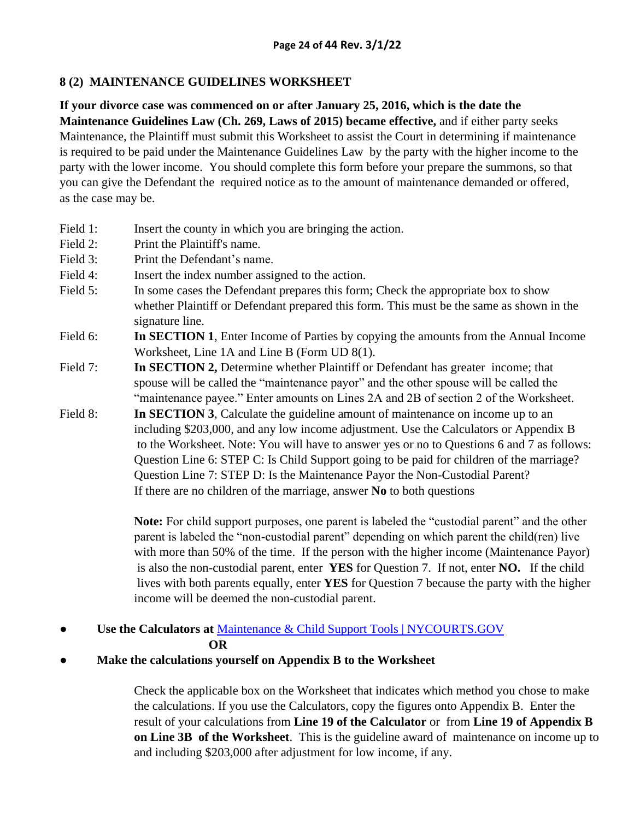#### **8 (2) MAINTENANCE GUIDELINES WORKSHEET**

## **If your divorce case was commenced on or after January 25, 2016, which is the date the**

**Maintenance Guidelines Law (Ch. 269, Laws of 2015) became effective,** and if either party seeks Maintenance, the Plaintiff must submit this Worksheet to assist the Court in determining if maintenance is required to be paid under the Maintenance Guidelines Law by the party with the higher income to the party with the lower income. You should complete this form before your prepare the summons, so that you can give the Defendant the required notice as to the amount of maintenance demanded or offered, as the case may be.

- Field 1: Insert the county in which you are bringing the action.
- Field 2: Print the Plaintiff's name.
- Field 3: Print the Defendant's name.
- Field 4: Insert the index number assigned to the action.
- Field 5: In some cases the Defendant prepares this form; Check the appropriate box to show whether Plaintiff or Defendant prepared this form. This must be the same as shown in the signature line.
- Field 6: **In SECTION 1**, Enter Income of Parties by copying the amounts from the Annual Income Worksheet, Line 1A and Line B (Form UD 8(1).
- Field 7: **In SECTION 2,** Determine whether Plaintiff or Defendant has greater income; that spouse will be called the "maintenance payor" and the other spouse will be called the "maintenance payee." Enter amounts on Lines 2A and 2B of section 2 of the Worksheet.
- Field 8: **In SECTION 3**, Calculate the guideline amount of maintenance on income up to an including \$203,000, and any low income adjustment. Use the Calculators or Appendix B to the Worksheet. Note: You will have to answer yes or no to Questions 6 and 7 as follows: Question Line 6: STEP C: Is Child Support going to be paid for children of the marriage? Question Line 7: STEP D: Is the Maintenance Payor the Non-Custodial Parent? If there are no children of the marriage, answer **No** to both questions

**Note:** For child support purposes, one parent is labeled the "custodial parent" and the other parent is labeled the "non-custodial parent" depending on which parent the child(ren) live with more than 50% of the time. If the person with the higher income (Maintenance Payor) is also the non-custodial parent, enter **YES** for Question 7. If not, enter **NO.** If the child lives with both parents equally, enter **YES** for Question 7 because the party with the higher income will be deemed the non-custodial parent.

● **Use the Calculators at** [Maintenance & Child Support Tools | NYCOURTS.GOV](http://ww2.nycourts.gov/divorce/MaintenanceChildSupportTools.shtml)

**OR**

**● Make the calculations yourself on Appendix B to the Worksheet**

Check the applicable box on the Worksheet that indicates which method you chose to make the calculations. If you use the Calculators, copy the figures onto Appendix B. Enter the result of your calculations from **Line 19 of the Calculator** or from **Line 19 of Appendix B on Line 3B of the Worksheet**. This is the guideline award of maintenance on income up to and including \$203,000 after adjustment for low income, if any.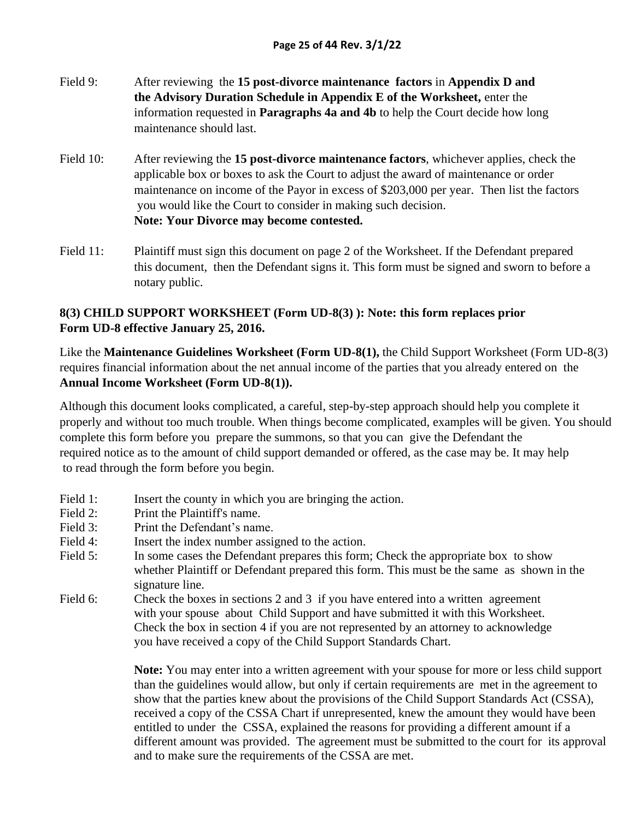- Field 9: After reviewing the **15 post-divorce maintenance factors** in **Appendix D and the Advisory Duration Schedule in Appendix E of the Worksheet,** enter the information requested in **Paragraphs 4a and 4b** to help the Court decide how long maintenance should last.
- Field 10: After reviewing the **15 post-divorce maintenance factors**, whichever applies, check the applicable box or boxes to ask the Court to adjust the award of maintenance or order maintenance on income of the Payor in excess of \$203,000 per year. Then list the factors you would like the Court to consider in making such decision. **Note: Your Divorce may become contested.**
- Field 11: Plaintiff must sign this document on page 2 of the Worksheet. If the Defendant prepared this document, then the Defendant signs it. This form must be signed and sworn to before a notary public.

## **8(3) CHILD SUPPORT WORKSHEET (Form UD-8(3) ): Note: this form replaces prior Form UD-8 effective January 25, 2016.**

Like the **Maintenance Guidelines Worksheet (Form UD-8(1),** the Child Support Worksheet (Form UD-8(3) requires financial information about the net annual income of the parties that you already entered on the **Annual Income Worksheet (Form UD-8(1)).**

Although this document looks complicated, a careful, step-by-step approach should help you complete it properly and without too much trouble. When things become complicated, examples will be given. You should complete this form before you prepare the summons, so that you can give the Defendant the required notice as to the amount of child support demanded or offered, as the case may be. It may help to read through the form before you begin.

- Field 1: Insert the county in which you are bringing the action.
- Field 2: Print the Plaintiff's name.
- Field 3: Print the Defendant's name.
- Field 4: Insert the index number assigned to the action.
- Field 5: In some cases the Defendant prepares this form; Check the appropriate box to show whether Plaintiff or Defendant prepared this form. This must be the same as shown in the signature line.
- Field 6: Check the boxes in sections 2 and 3 if you have entered into a written agreement with your spouse about Child Support and have submitted it with this Worksheet. Check the box in section 4 if you are not represented by an attorney to acknowledge you have received a copy of the Child Support Standards Chart.

**Note:** You may enter into a written agreement with your spouse for more or less child support than the guidelines would allow, but only if certain requirements are met in the agreement to show that the parties knew about the provisions of the Child Support Standards Act (CSSA), received a copy of the CSSA Chart if unrepresented, knew the amount they would have been entitled to under the CSSA, explained the reasons for providing a different amount if a different amount was provided. The agreement must be submitted to the court for its approval and to make sure the requirements of the CSSA are met.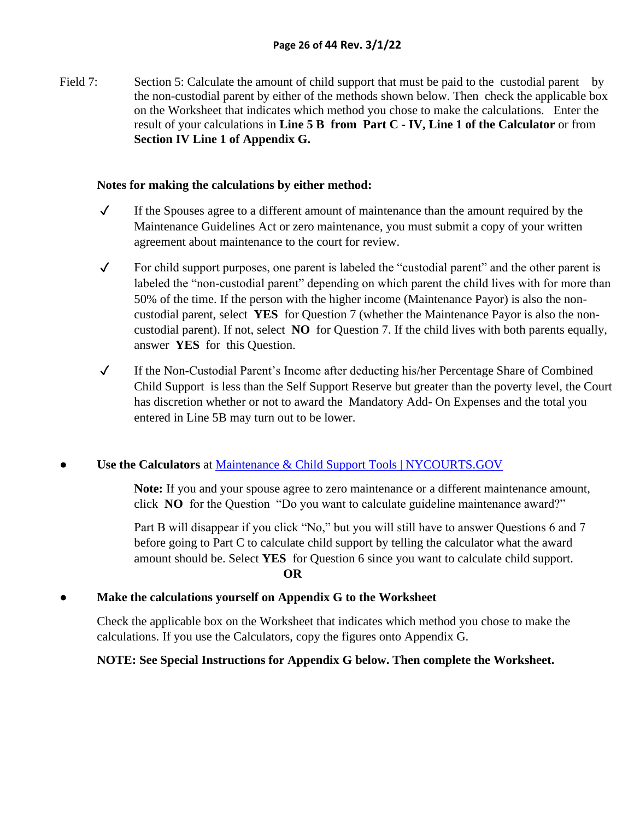Field 7: Section 5: Calculate the amount of child support that must be paid to the custodial parent by the non-custodial parent by either of the methods shown below. Then check the applicable box on the Worksheet that indicates which method you chose to make the calculations. Enter the result of your calculations in **Line 5 B from Part C - IV, Line 1 of the Calculator** or from **Section IV Line 1 of Appendix G.**

#### **Notes for making the calculations by either method:**

- ✓ If the Spouses agree to a different amount of maintenance than the amount required by the Maintenance Guidelines Act or zero maintenance, you must submit a copy of your written agreement about maintenance to the court for review.
- ✓ For child support purposes, one parent is labeled the "custodial parent" and the other parent is labeled the "non-custodial parent" depending on which parent the child lives with for more than 50% of the time. If the person with the higher income (Maintenance Payor) is also the noncustodial parent, select **YES** for Question 7 (whether the Maintenance Payor is also the noncustodial parent). If not, select **NO** for Question 7. If the child lives with both parents equally, answer **YES** for this Question.
- ✓ If the Non-Custodial Parent's Income after deducting his/her Percentage Share of Combined Child Support is less than the Self Support Reserve but greater than the poverty level, the Court has discretion whether or not to award the Mandatory Add- On Expenses and the total you entered in Line 5B may turn out to be lower.

#### Use the Calculators at **Maintenance & Child Support Tools | NYCOURTS.GOV**

**Note:** If you and your spouse agree to zero maintenance or a different maintenance amount, click **NO** for the Question "Do you want to calculate guideline maintenance award?"

Part B will disappear if you click "No," but you will still have to answer Questions 6 and 7 before going to Part C to calculate child support by telling the calculator what the award amount should be. Select **YES** for Question 6 since you want to calculate child support. **OR**

#### **● Make the calculations yourself on Appendix G to the Worksheet**

Check the applicable box on the Worksheet that indicates which method you chose to make the calculations. If you use the Calculators, copy the figures onto Appendix G.

#### **NOTE: See Special Instructions for Appendix G below. Then complete the Worksheet.**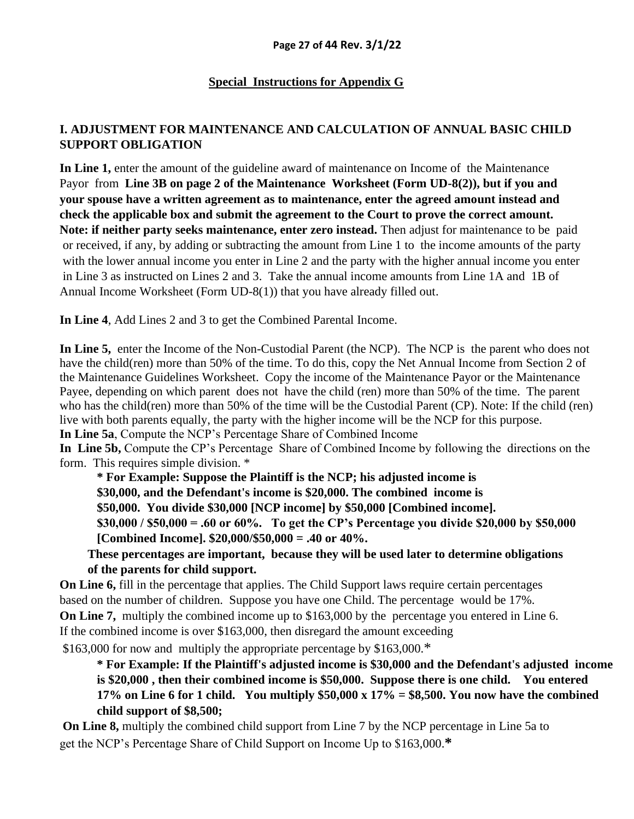## **Special Instructions for Appendix G**

## **I. ADJUSTMENT FOR MAINTENANCE AND CALCULATION OF ANNUAL BASIC CHILD SUPPORT OBLIGATION**

**In Line 1,** enter the amount of the guideline award of maintenance on Income of the Maintenance Payor from **Line 3B on page 2 of the Maintenance Worksheet (Form UD-8(2)), but if you and your spouse have a written agreement as to maintenance, enter the agreed amount instead and check the applicable box and submit the agreement to the Court to prove the correct amount. Note: if neither party seeks maintenance, enter zero instead.** Then adjust for maintenance to be paid or received, if any, by adding or subtracting the amount from Line 1 to the income amounts of the party with the lower annual income you enter in Line 2 and the party with the higher annual income you enter in Line 3 as instructed on Lines 2 and 3. Take the annual income amounts from Line 1A and 1B of Annual Income Worksheet (Form UD-8(1)) that you have already filled out.

**In Line 4**, Add Lines 2 and 3 to get the Combined Parental Income.

**In Line 5,** enter the Income of the Non-Custodial Parent (the NCP). The NCP is the parent who does not have the child(ren) more than 50% of the time. To do this, copy the Net Annual Income from Section 2 of the Maintenance Guidelines Worksheet. Copy the income of the Maintenance Payor or the Maintenance Payee, depending on which parent does not have the child (ren) more than 50% of the time. The parent who has the child(ren) more than 50% of the time will be the Custodial Parent (CP). Note: If the child (ren) live with both parents equally, the party with the higher income will be the NCP for this purpose.

**In Line 5a**, Compute the NCP's Percentage Share of Combined Income

**In Line 5b,** Compute the CP's Percentage Share of Combined Income by following the directions on the form. This requires simple division. \*

**\* For Example: Suppose the Plaintiff is the NCP; his adjusted income is** 

**\$30,000, and the Defendant's income is \$20,000. The combined income is** 

**\$50,000. You divide \$30,000 [NCP income] by \$50,000 [Combined income].** 

**\$30,000 / \$50,000 = .60 or 60%. To get the CP's Percentage you divide \$20,000 by \$50,000 [Combined Income]. \$20,000/\$50,000 = .40 or 40%.** 

**These percentages are important, because they will be used later to determine obligations of the parents for child support.** 

**On Line 6,** fill in the percentage that applies. The Child Support laws require certain percentages based on the number of children. Suppose you have one Child. The percentage would be 17%. **On Line 7,** multiply the combined income up to \$163,000 by the percentage you entered in Line 6. If the combined income is over \$163,000, then disregard the amount exceeding \$163,000 for now and multiply the appropriate percentage by \$163,000.\*

**\* For Example: If the Plaintiff's adjusted income is \$30,000 and the Defendant's adjusted income is \$20,000 , then their combined income is \$50,000. Suppose there is one child. You entered 17% on Line 6 for 1 child. You multiply \$50,000 x 17% = \$8,500. You now have the combined child support of \$8,500;**

**On Line 8,** multiply the combined child support from Line 7 by the NCP percentage in Line 5a to get the NCP's Percentage Share of Child Support on Income Up to \$163,000.**\***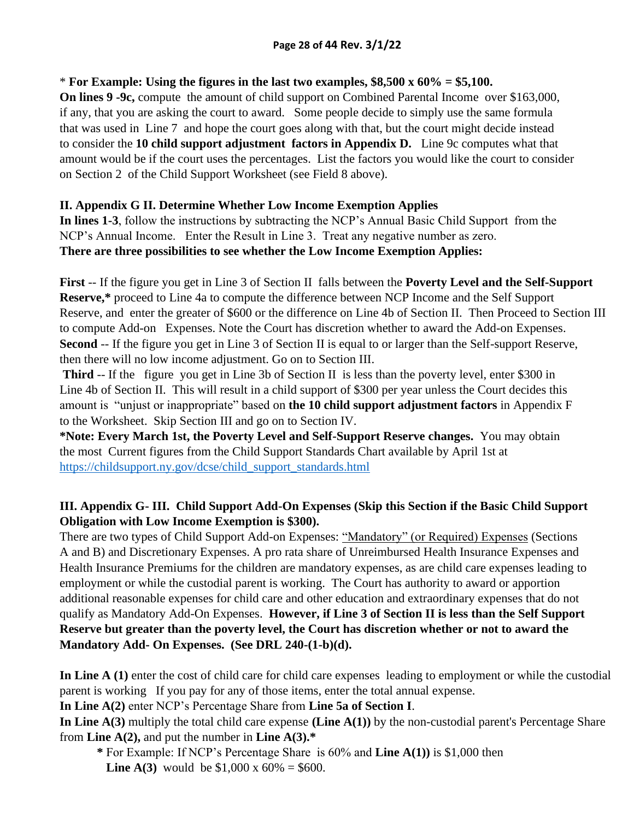#### \* **For Example: Using the figures in the last two examples, \$8,500 x 60% = \$5,100.**

**On lines 9 -9c,** compute the amount of child support on Combined Parental Income over \$163,000, if any, that you are asking the court to award. Some people decide to simply use the same formula that was used in Line 7 and hope the court goes along with that, but the court might decide instead to consider the **10 child support adjustment factors in Appendix D.** Line 9c computes what that amount would be if the court uses the percentages. List the factors you would like the court to consider on Section 2 of the Child Support Worksheet (see Field 8 above).

## **II. Appendix G II. Determine Whether Low Income Exemption Applies**

**In lines 1-3**, follow the instructions by subtracting the NCP's Annual Basic Child Support from the NCP's Annual Income. Enter the Result in Line 3. Treat any negative number as zero. **There are three possibilities to see whether the Low Income Exemption Applies:**

**First** -- If the figure you get in Line 3 of Section II falls between the **Poverty Level and the Self-Support Reserve,\*** proceed to Line 4a to compute the difference between NCP Income and the Self Support Reserve, and enter the greater of \$600 or the difference on Line 4b of Section II. Then Proceed to Section III to compute Add-on Expenses. Note the Court has discretion whether to award the Add-on Expenses. **Second** -- If the figure you get in Line 3 of Section II is equal to or larger than the Self-support Reserve, then there will no low income adjustment. Go on to Section III.

**Third** -- If the figure you get in Line 3b of Section II is less than the poverty level, enter \$300 in Line 4b of Section II. This will result in a child support of \$300 per year unless the Court decides this amount is "unjust or inappropriate" based on **the 10 child support adjustment factors** in Appendix F to the Worksheet. Skip Section III and go on to Section IV.

**\*Note: Every March 1st, the Poverty Level and Self-Support Reserve changes.** You may obtain the most Current figures from the Child Support Standards Chart available by April 1st at [https://childsupport.ny.gov/dcse/child\\_support\\_standards.html](https://childsupport.ny.gov/dcse/child_support_standards.html)

## **III. Appendix G- III. Child Support Add-On Expenses (Skip this Section if the Basic Child Support Obligation with Low Income Exemption is \$300).**

There are two types of Child Support Add-on Expenses: "Mandatory" (or Required) Expenses (Sections A and B) and Discretionary Expenses. A pro rata share of Unreimbursed Health Insurance Expenses and Health Insurance Premiums for the children are mandatory expenses, as are child care expenses leading to employment or while the custodial parent is working. The Court has authority to award or apportion additional reasonable expenses for child care and other education and extraordinary expenses that do not qualify as Mandatory Add-On Expenses. **However, if Line 3 of Section II is less than the Self Support Reserve but greater than the poverty level, the Court has discretion whether or not to award the Mandatory Add- On Expenses. (See DRL 240-(1-b)(d).** 

**In Line A (1)** enter the cost of child care for child care expenses leading to employment or while the custodial parent is working If you pay for any of those items, enter the total annual expense.

**In Line A(2)** enter NCP's Percentage Share from **Line 5a of Section I**.

**In Line A(3)** multiply the total child care expense **(Line A(1))** by the non-custodial parent's Percentage Share from **Line A(2),** and put the number in **Line A(3).\***

**\*** For Example: If NCP's Percentage Share is 60% and **Line A(1))** is \$1,000 then

**Line A(3)** would be  $$1,000 \times 60\% = $600$ .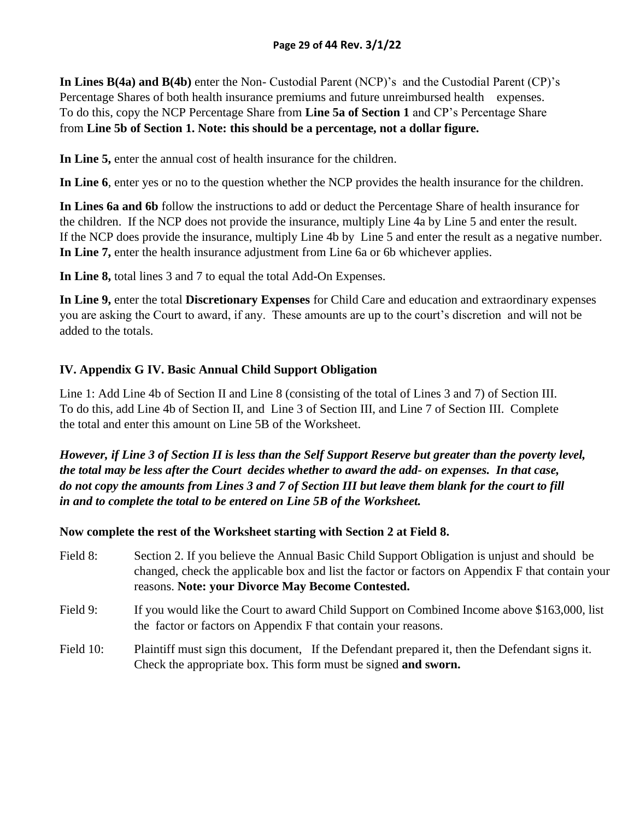**In Lines B(4a) and B(4b)** enter the Non- Custodial Parent (NCP)'s and the Custodial Parent (CP)'s Percentage Shares of both health insurance premiums and future unreimbursed health expenses. To do this, copy the NCP Percentage Share from **Line 5a of Section 1** and CP's Percentage Share from **Line 5b of Section 1. Note: this should be a percentage, not a dollar figure.**

**In Line 5,** enter the annual cost of health insurance for the children.

**In Line 6**, enter yes or no to the question whether the NCP provides the health insurance for the children.

**In Lines 6a and 6b** follow the instructions to add or deduct the Percentage Share of health insurance for the children. If the NCP does not provide the insurance, multiply Line 4a by Line 5 and enter the result. If the NCP does provide the insurance, multiply Line 4b by Line 5 and enter the result as a negative number. **In Line 7,** enter the health insurance adjustment from Line 6a or 6b whichever applies.

**In Line 8,** total lines 3 and 7 to equal the total Add-On Expenses.

**In Line 9,** enter the total **Discretionary Expenses** for Child Care and education and extraordinary expenses you are asking the Court to award, if any. These amounts are up to the court's discretion and will not be added to the totals.

## **IV. Appendix G IV. Basic Annual Child Support Obligation**

Line 1: Add Line 4b of Section II and Line 8 (consisting of the total of Lines 3 and 7) of Section III. To do this, add Line 4b of Section II, and Line 3 of Section III, and Line 7 of Section III. Complete the total and enter this amount on Line 5B of the Worksheet.

*However, if Line 3 of Section II is less than the Self Support Reserve but greater than the poverty level, the total may be less after the Court decides whether to award the add- on expenses. In that case, do not copy the amounts from Lines 3 and 7 of Section III but leave them blank for the court to fill in and to complete the total to be entered on Line 5B of the Worksheet.* 

**Now complete the rest of the Worksheet starting with Section 2 at Field 8.** 

- Field 8: Section 2. If you believe the Annual Basic Child Support Obligation is unjust and should be changed, check the applicable box and list the factor or factors on Appendix F that contain your reasons. **Note: your Divorce May Become Contested.**
- Field 9: If you would like the Court to award Child Support on Combined Income above \$163,000, list the factor or factors on Appendix F that contain your reasons.
- Field 10: Plaintiff must sign this document, If the Defendant prepared it, then the Defendant signs it. Check the appropriate box. This form must be signed **and sworn.**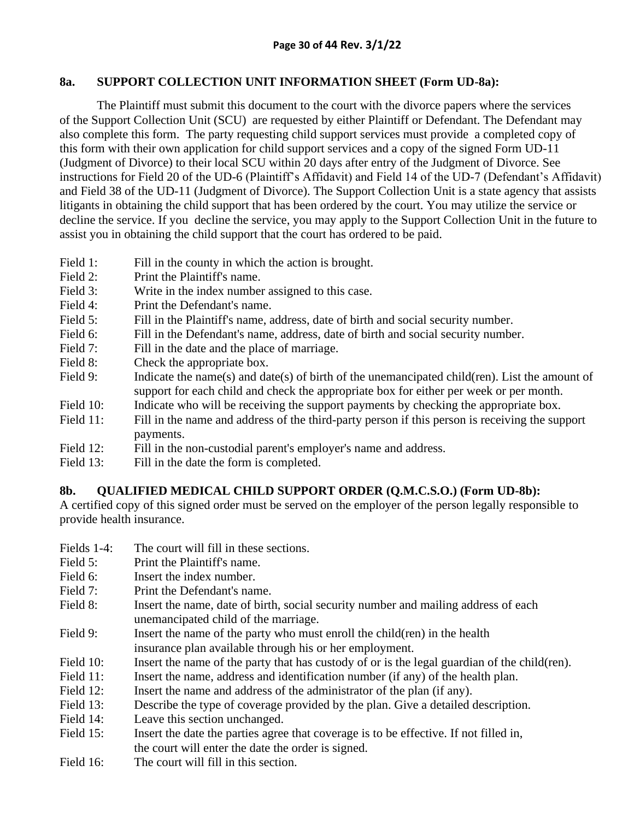#### **8a. SUPPORT COLLECTION UNIT INFORMATION SHEET (Form UD-8a):**

The Plaintiff must submit this document to the court with the divorce papers where the services of the Support Collection Unit (SCU) are requested by either Plaintiff or Defendant. The Defendant may also complete this form. The party requesting child support services must provide a completed copy of this form with their own application for child support services and a copy of the signed Form UD-11 (Judgment of Divorce) to their local SCU within 20 days after entry of the Judgment of Divorce. See instructions for Field 20 of the UD-6 (Plaintiff's Affidavit) and Field 14 of the UD-7 (Defendant's Affidavit) and Field 38 of the UD-11 (Judgment of Divorce). The Support Collection Unit is a state agency that assists litigants in obtaining the child support that has been ordered by the court. You may utilize the service or decline the service. If you decline the service, you may apply to the Support Collection Unit in the future to assist you in obtaining the child support that the court has ordered to be paid.

- Field 1: Fill in the county in which the action is brought.
- Field 2: Print the Plaintiff's name.
- Field 3: Write in the index number assigned to this case.
- Field 4: Print the Defendant's name.
- Field 5: Fill in the Plaintiff's name, address, date of birth and social security number.
- Field 6: Fill in the Defendant's name, address, date of birth and social security number.
- Field 7: Fill in the date and the place of marriage.
- Field 8: Check the appropriate box.
- Field 9: Indicate the name(s) and date(s) of birth of the unemancipated child(ren). List the amount of support for each child and check the appropriate box for either per week or per month.
- Field 10: Indicate who will be receiving the support payments by checking the appropriate box.
- Field 11: Fill in the name and address of the third-party person if this person is receiving the support payments.
- Field 12: Fill in the non-custodial parent's employer's name and address.
- Field 13: Fill in the date the form is completed.

## **8b. QUALIFIED MEDICAL CHILD SUPPORT ORDER (Q.M.C.S.O.) (Form UD-8b):**

A certified copy of this signed order must be served on the employer of the person legally responsible to provide health insurance.

- Fields 1-4: The court will fill in these sections.
- Field 5: Print the Plaintiff's name.
- Field 6: **Insert the index number.**
- Field 7: Print the Defendant's name.
- Field 8: Insert the name, date of birth, social security number and mailing address of each unemancipated child of the marriage.
- Field 9: Insert the name of the party who must enroll the child(ren) in the health insurance plan available through his or her employment.
- Field 10: Insert the name of the party that has custody of or is the legal guardian of the child(ren).
- Field 11: Insert the name, address and identification number (if any) of the health plan.
- Field 12: Insert the name and address of the administrator of the plan (if any).
- Field 13: Describe the type of coverage provided by the plan. Give a detailed description.
- Field 14: Leave this section unchanged.
- Field 15: Insert the date the parties agree that coverage is to be effective. If not filled in, the court will enter the date the order is signed.
- Field 16: The court will fill in this section.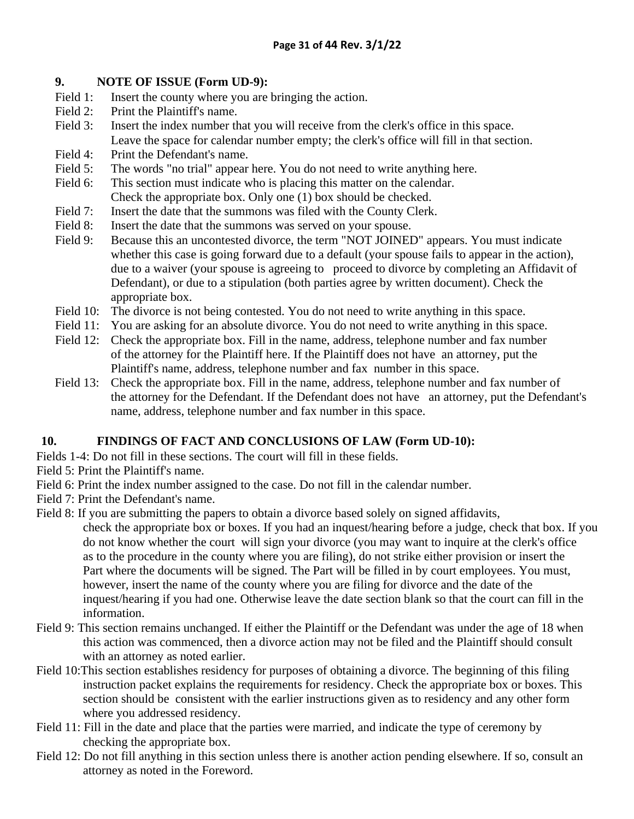#### **9. NOTE OF ISSUE (Form UD-9):**

- Field 1: Insert the county where you are bringing the action.
- Field 2: Print the Plaintiff's name.
- Field 3: Insert the index number that you will receive from the clerk's office in this space. Leave the space for calendar number empty; the clerk's office will fill in that section.
- Field 4: Print the Defendant's name.
- Field 5: The words "no trial" appear here. You do not need to write anything here.
- Field 6: This section must indicate who is placing this matter on the calendar. Check the appropriate box. Only one (1) box should be checked.
- Field 7: Insert the date that the summons was filed with the County Clerk.
- Field 8: Insert the date that the summons was served on your spouse.
- Field 9: Because this an uncontested divorce, the term "NOT JOINED" appears. You must indicate whether this case is going forward due to a default (your spouse fails to appear in the action), due to a waiver (your spouse is agreeing to proceed to divorce by completing an Affidavit of Defendant), or due to a stipulation (both parties agree by written document). Check the appropriate box.
- Field 10: The divorce is not being contested. You do not need to write anything in this space.
- Field 11: You are asking for an absolute divorce. You do not need to write anything in this space.
- Field 12: Check the appropriate box. Fill in the name, address, telephone number and fax number of the attorney for the Plaintiff here. If the Plaintiff does not have an attorney, put the Plaintiff's name, address, telephone number and fax number in this space.
- Field 13: Check the appropriate box. Fill in the name, address, telephone number and fax number of the attorney for the Defendant. If the Defendant does not have an attorney, put the Defendant's name, address, telephone number and fax number in this space.

## **10. FINDINGS OF FACT AND CONCLUSIONS OF LAW (Form UD-10):**

- Fields 1-4: Do not fill in these sections. The court will fill in these fields.
- Field 5: Print the Plaintiff's name.
- Field 6: Print the index number assigned to the case. Do not fill in the calendar number.
- Field 7: Print the Defendant's name.
- Field 8: If you are submitting the papers to obtain a divorce based solely on signed affidavits,

check the appropriate box or boxes. If you had an inquest/hearing before a judge, check that box. If you do not know whether the court will sign your divorce (you may want to inquire at the clerk's office as to the procedure in the county where you are filing), do not strike either provision or insert the Part where the documents will be signed. The Part will be filled in by court employees. You must, however, insert the name of the county where you are filing for divorce and the date of the inquest/hearing if you had one. Otherwise leave the date section blank so that the court can fill in the information.

- Field 9: This section remains unchanged. If either the Plaintiff or the Defendant was under the age of 18 when this action was commenced, then a divorce action may not be filed and the Plaintiff should consult with an attorney as noted earlier.
- Field 10:This section establishes residency for purposes of obtaining a divorce. The beginning of this filing instruction packet explains the requirements for residency. Check the appropriate box or boxes. This section should be consistent with the earlier instructions given as to residency and any other form where you addressed residency.
- Field 11: Fill in the date and place that the parties were married, and indicate the type of ceremony by checking the appropriate box.
- Field 12: Do not fill anything in this section unless there is another action pending elsewhere. If so, consult an attorney as noted in the Foreword.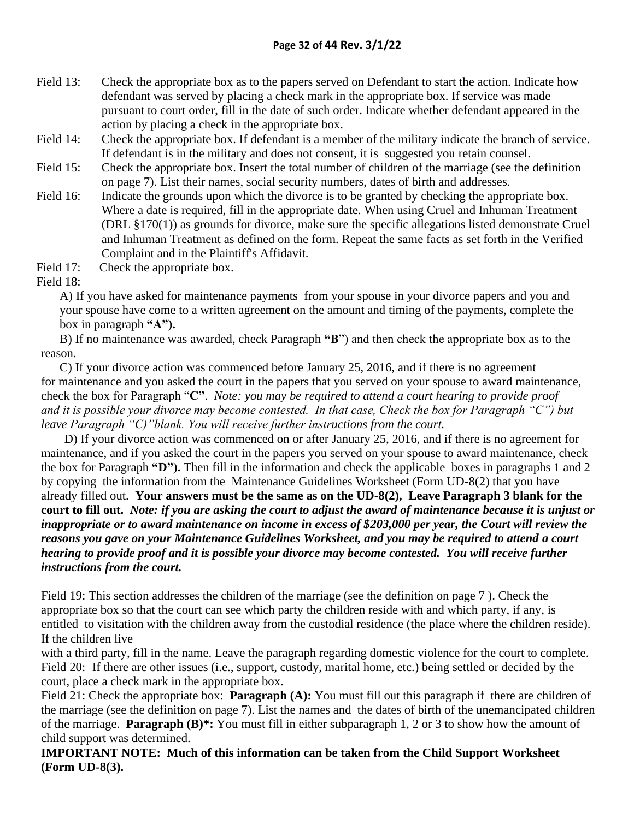- Field 13: Check the appropriate box as to the papers served on Defendant to start the action. Indicate how defendant was served by placing a check mark in the appropriate box. If service was made pursuant to court order, fill in the date of such order. Indicate whether defendant appeared in the action by placing a check in the appropriate box.
- Field 14: Check the appropriate box. If defendant is a member of the military indicate the branch of service. If defendant is in the military and does not consent, it is suggested you retain counsel.
- Field 15: Check the appropriate box. Insert the total number of children of the marriage (see the definition on page 7). List their names, social security numbers, dates of birth and addresses.
- Field 16: Indicate the grounds upon which the divorce is to be granted by checking the appropriate box. Where a date is required, fill in the appropriate date. When using Cruel and Inhuman Treatment (DRL §170(1)) as grounds for divorce, make sure the specific allegations listed demonstrate Cruel and Inhuman Treatment as defined on the form. Repeat the same facts as set forth in the Verified Complaint and in the Plaintiff's Affidavit.
- Field 17: Check the appropriate box.

Field 18:

A) If you have asked for maintenance payments from your spouse in your divorce papers and you and your spouse have come to a written agreement on the amount and timing of the payments, complete the box in paragraph **"A").**

B) If no maintenance was awarded, check Paragraph **"B**") and then check the appropriate box as to the reason.

C) If your divorce action was commenced before January 25, 2016, and if there is no agreement for maintenance and you asked the court in the papers that you served on your spouse to award maintenance, check the box for Paragraph "**C"**. *Note: you may be required to attend a court hearing to provide proof and it is possible your divorce may become contested. In that case, Check the box for Paragraph "C") but leave Paragraph "C)"blank. You will receive further instructions from the court.*

D) If your divorce action was commenced on or after January 25, 2016, and if there is no agreement for maintenance, and if you asked the court in the papers you served on your spouse to award maintenance, check the box for Paragraph **"D").** Then fill in the information and check the applicable boxes in paragraphs 1 and 2 by copying the information from the Maintenance Guidelines Worksheet (Form UD-8(2) that you have already filled out. **Your answers must be the same as on the UD-8(2), Leave Paragraph 3 blank for the court to fill out.** *Note: if you are asking the court to adjust the award of maintenance because it is unjust or inappropriate or to award maintenance on income in excess of \$203,000 per year, the Court will review the reasons you gave on your Maintenance Guidelines Worksheet, and you may be required to attend a court hearing to provide proof and it is possible your divorce may become contested. You will receive further instructions from the court.* 

Field 19: This section addresses the children of the marriage (see the definition on page 7 ). Check the appropriate box so that the court can see which party the children reside with and which party, if any, is entitled to visitation with the children away from the custodial residence (the place where the children reside). If the children live

with a third party, fill in the name. Leave the paragraph regarding domestic violence for the court to complete. Field 20: If there are other issues (i.e., support, custody, marital home, etc.) being settled or decided by the court, place a check mark in the appropriate box.

Field 21: Check the appropriate box: **Paragraph (A):** You must fill out this paragraph if there are children of the marriage (see the definition on page 7). List the names and the dates of birth of the unemancipated children of the marriage. **Paragraph (B)\*:** You must fill in either subparagraph 1, 2 or 3 to show how the amount of child support was determined.

**IMPORTANT NOTE: Much of this information can be taken from the Child Support Worksheet (Form UD-8(3).**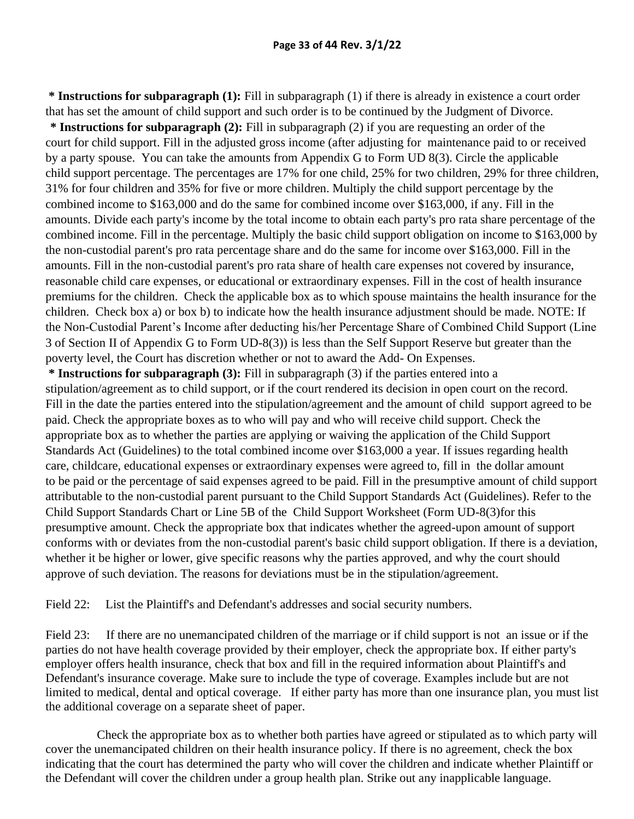**\* Instructions for subparagraph (1):** Fill in subparagraph (1) if there is already in existence a court order that has set the amount of child support and such order is to be continued by the Judgment of Divorce.

**\* Instructions for subparagraph (2):** Fill in subparagraph (2) if you are requesting an order of the court for child support. Fill in the adjusted gross income (after adjusting for maintenance paid to or received by a party spouse. You can take the amounts from Appendix G to Form UD 8(3). Circle the applicable child support percentage. The percentages are 17% for one child, 25% for two children, 29% for three children, 31% for four children and 35% for five or more children. Multiply the child support percentage by the combined income to \$163,000 and do the same for combined income over \$163,000, if any. Fill in the amounts. Divide each party's income by the total income to obtain each party's pro rata share percentage of the combined income. Fill in the percentage. Multiply the basic child support obligation on income to \$163,000 by the non-custodial parent's pro rata percentage share and do the same for income over \$163,000. Fill in the amounts. Fill in the non-custodial parent's pro rata share of health care expenses not covered by insurance, reasonable child care expenses, or educational or extraordinary expenses. Fill in the cost of health insurance premiums for the children. Check the applicable box as to which spouse maintains the health insurance for the children. Check box a) or box b) to indicate how the health insurance adjustment should be made. NOTE: If the Non-Custodial Parent's Income after deducting his/her Percentage Share of Combined Child Support (Line 3 of Section II of Appendix G to Form UD-8(3)) is less than the Self Support Reserve but greater than the poverty level, the Court has discretion whether or not to award the Add- On Expenses.

**\* Instructions for subparagraph (3):** Fill in subparagraph (3) if the parties entered into a stipulation/agreement as to child support, or if the court rendered its decision in open court on the record. Fill in the date the parties entered into the stipulation/agreement and the amount of child support agreed to be paid. Check the appropriate boxes as to who will pay and who will receive child support. Check the appropriate box as to whether the parties are applying or waiving the application of the Child Support Standards Act (Guidelines) to the total combined income over \$163,000 a year. If issues regarding health care, childcare, educational expenses or extraordinary expenses were agreed to, fill in the dollar amount to be paid or the percentage of said expenses agreed to be paid. Fill in the presumptive amount of child support attributable to the non-custodial parent pursuant to the Child Support Standards Act (Guidelines). Refer to the Child Support Standards Chart or Line 5B of the Child Support Worksheet (Form UD-8(3)for this presumptive amount. Check the appropriate box that indicates whether the agreed-upon amount of support conforms with or deviates from the non-custodial parent's basic child support obligation. If there is a deviation, whether it be higher or lower, give specific reasons why the parties approved, and why the court should approve of such deviation. The reasons for deviations must be in the stipulation/agreement.

Field 22: List the Plaintiff's and Defendant's addresses and social security numbers.

Field 23: If there are no unemancipated children of the marriage or if child support is not an issue or if the parties do not have health coverage provided by their employer, check the appropriate box. If either party's employer offers health insurance, check that box and fill in the required information about Plaintiff's and Defendant's insurance coverage. Make sure to include the type of coverage. Examples include but are not limited to medical, dental and optical coverage. If either party has more than one insurance plan, you must list the additional coverage on a separate sheet of paper.

Check the appropriate box as to whether both parties have agreed or stipulated as to which party will cover the unemancipated children on their health insurance policy. If there is no agreement, check the box indicating that the court has determined the party who will cover the children and indicate whether Plaintiff or the Defendant will cover the children under a group health plan. Strike out any inapplicable language.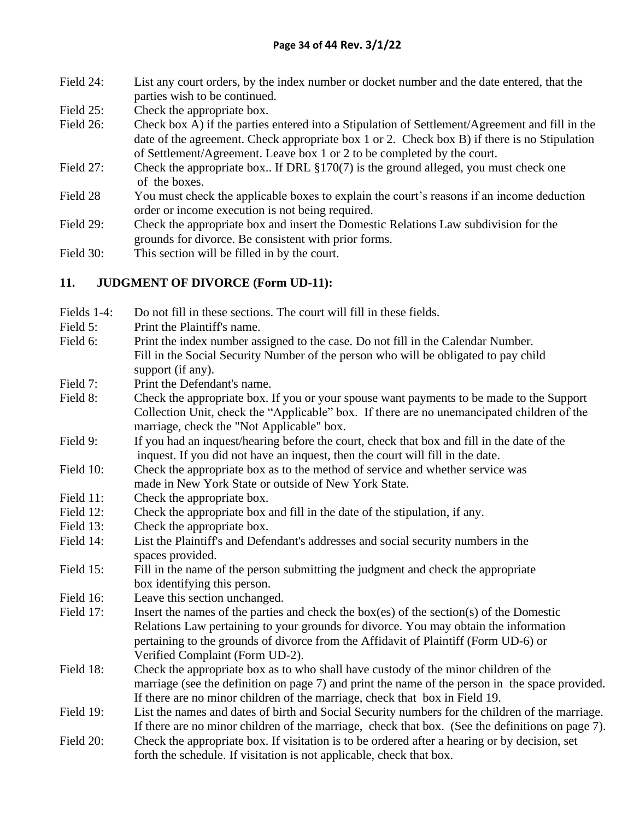- Field 24: List any court orders, by the index number or docket number and the date entered, that the parties wish to be continued.
- Field 25: Check the appropriate box.
- Field 26: Check box A) if the parties entered into a Stipulation of Settlement/Agreement and fill in the date of the agreement. Check appropriate box 1 or 2. Check box B) if there is no Stipulation of Settlement/Agreement. Leave box 1 or 2 to be completed by the court.
- Field 27: Check the appropriate box.. If DRL §170(7) is the ground alleged, you must check one of the boxes.
- Field 28 You must check the applicable boxes to explain the court's reasons if an income deduction order or income execution is not being required.
- Field 29: Check the appropriate box and insert the Domestic Relations Law subdivision for the grounds for divorce. Be consistent with prior forms.
- Field 30: This section will be filled in by the court.

### **11. JUDGMENT OF DIVORCE (Form UD-11):**

| Fields 1-4:<br>Do not fill in these sections. The court will fill in these fields. |
|------------------------------------------------------------------------------------|
|------------------------------------------------------------------------------------|

- Field 5: Print the Plaintiff's name.
- Field 6: Print the index number assigned to the case. Do not fill in the Calendar Number. Fill in the Social Security Number of the person who will be obligated to pay child support (if any).
- Field 7: Print the Defendant's name.
- Field 8: Check the appropriate box. If you or your spouse want payments to be made to the Support Collection Unit, check the "Applicable" box. If there are no unemancipated children of the marriage, check the "Not Applicable" box.
- Field 9: If you had an inquest/hearing before the court, check that box and fill in the date of the inquest. If you did not have an inquest, then the court will fill in the date.
- Field 10: Check the appropriate box as to the method of service and whether service was made in New York State or outside of New York State.
- Field 11: Check the appropriate box.
- Field 12: Check the appropriate box and fill in the date of the stipulation, if any.
- Field 13: Check the appropriate box.
- Field 14: List the Plaintiff's and Defendant's addresses and social security numbers in the spaces provided.
- Field 15: Fill in the name of the person submitting the judgment and check the appropriate box identifying this person.
- Field 16: Leave this section unchanged.
- Field 17: Insert the names of the parties and check the box(es) of the section(s) of the Domestic Relations Law pertaining to your grounds for divorce. You may obtain the information pertaining to the grounds of divorce from the Affidavit of Plaintiff (Form UD-6) or Verified Complaint (Form UD-2).
- Field 18: Check the appropriate box as to who shall have custody of the minor children of the marriage (see the definition on page 7) and print the name of the person in the space provided. If there are no minor children of the marriage, check that box in Field 19.
- Field 19: List the names and dates of birth and Social Security numbers for the children of the marriage. If there are no minor children of the marriage, check that box. (See the definitions on page 7).
- Field 20: Check the appropriate box. If visitation is to be ordered after a hearing or by decision, set forth the schedule. If visitation is not applicable, check that box.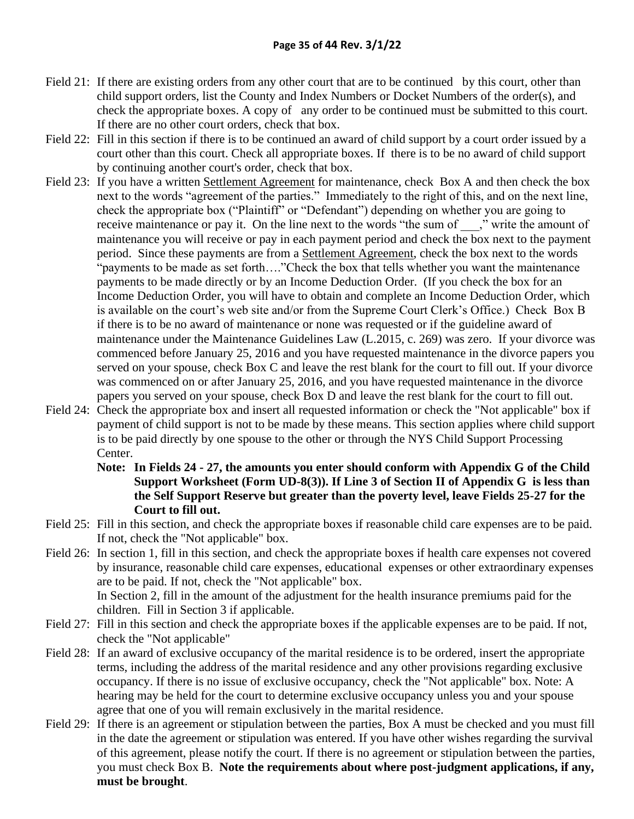- Field 21: If there are existing orders from any other court that are to be continued by this court, other than child support orders, list the County and Index Numbers or Docket Numbers of the order(s), and check the appropriate boxes. A copy of any order to be continued must be submitted to this court. If there are no other court orders, check that box.
- Field 22: Fill in this section if there is to be continued an award of child support by a court order issued by a court other than this court. Check all appropriate boxes. If there is to be no award of child support by continuing another court's order, check that box.
- Field 23: If you have a written Settlement Agreement for maintenance, check Box A and then check the box next to the words "agreement of the parties." Immediately to the right of this, and on the next line, check the appropriate box ("Plaintiff" or "Defendant") depending on whether you are going to receive maintenance or pay it. On the line next to the words "the sum of z write the amount of maintenance you will receive or pay in each payment period and check the box next to the payment period. Since these payments are from a Settlement Agreement, check the box next to the words "payments to be made as set forth…."Check the box that tells whether you want the maintenance payments to be made directly or by an Income Deduction Order. (If you check the box for an Income Deduction Order, you will have to obtain and complete an Income Deduction Order, which is available on the court's web site and/or from the Supreme Court Clerk's Office.) Check Box B if there is to be no award of maintenance or none was requested or if the guideline award of maintenance under the Maintenance Guidelines Law (L.2015, c. 269) was zero. If your divorce was commenced before January 25, 2016 and you have requested maintenance in the divorce papers you served on your spouse, check Box C and leave the rest blank for the court to fill out. If your divorce was commenced on or after January 25, 2016, and you have requested maintenance in the divorce papers you served on your spouse, check Box D and leave the rest blank for the court to fill out.
- Field 24: Check the appropriate box and insert all requested information or check the "Not applicable" box if payment of child support is not to be made by these means. This section applies where child support is to be paid directly by one spouse to the other or through the NYS Child Support Processing Center.
	- **Note: In Fields 24 - 27, the amounts you enter should conform with Appendix G of the Child Support Worksheet (Form UD-8(3)). If Line 3 of Section II of Appendix G is less than the Self Support Reserve but greater than the poverty level, leave Fields 25-27 for the Court to fill out.**
- Field 25: Fill in this section, and check the appropriate boxes if reasonable child care expenses are to be paid. If not, check the "Not applicable" box.
- Field 26: In section 1, fill in this section, and check the appropriate boxes if health care expenses not covered by insurance, reasonable child care expenses, educational expenses or other extraordinary expenses are to be paid. If not, check the "Not applicable" box. In Section 2, fill in the amount of the adjustment for the health insurance premiums paid for the
- children. Fill in Section 3 if applicable. Field 27: Fill in this section and check the appropriate boxes if the applicable expenses are to be paid. If not, check the "Not applicable"
- Field 28: If an award of exclusive occupancy of the marital residence is to be ordered, insert the appropriate terms, including the address of the marital residence and any other provisions regarding exclusive occupancy. If there is no issue of exclusive occupancy, check the "Not applicable" box. Note: A hearing may be held for the court to determine exclusive occupancy unless you and your spouse agree that one of you will remain exclusively in the marital residence.
- Field 29: If there is an agreement or stipulation between the parties, Box A must be checked and you must fill in the date the agreement or stipulation was entered. If you have other wishes regarding the survival of this agreement, please notify the court. If there is no agreement or stipulation between the parties, you must check Box B. **Note the requirements about where post-judgment applications, if any, must be brought**.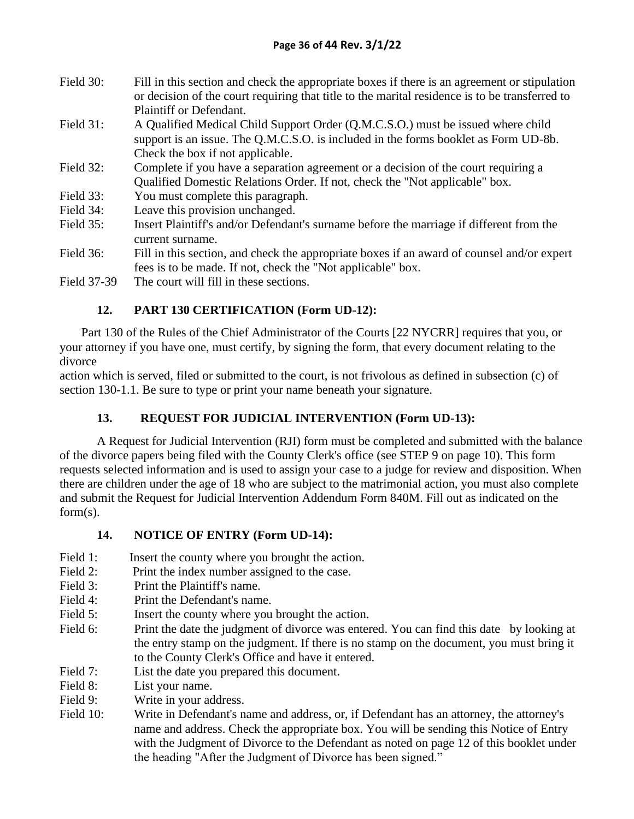| Field 30: | Fill in this section and check the appropriate boxes if there is an agreement or stipulation   |
|-----------|------------------------------------------------------------------------------------------------|
|           | or decision of the court requiring that title to the marital residence is to be transferred to |
|           | Plaintiff or Defendant.                                                                        |

- Field 31: A Qualified Medical Child Support Order (Q.M.C.S.O.) must be issued where child support is an issue. The Q.M.C.S.O. is included in the forms booklet as Form UD-8b. Check the box if not applicable.
- Field 32: Complete if you have a separation agreement or a decision of the court requiring a Qualified Domestic Relations Order. If not, check the "Not applicable" box.
- Field 33: You must complete this paragraph.
- Field 34: Leave this provision unchanged.
- Field 35: Insert Plaintiff's and/or Defendant's surname before the marriage if different from the current surname.
- Field 36: Fill in this section, and check the appropriate boxes if an award of counsel and/or expert fees is to be made. If not, check the "Not applicable" box.
- Field 37-39 The court will fill in these sections.

## **12. PART 130 CERTIFICATION (Form UD-12):**

 Part 130 of the Rules of the Chief Administrator of the Courts [22 NYCRR] requires that you, or your attorney if you have one, must certify, by signing the form, that every document relating to the divorce

action which is served, filed or submitted to the court, is not frivolous as defined in subsection (c) of section 130-1.1. Be sure to type or print your name beneath your signature.

## **13. REQUEST FOR JUDICIAL INTERVENTION (Form UD-13):**

A Request for Judicial Intervention (RJI) form must be completed and submitted with the balance of the divorce papers being filed with the County Clerk's office (see STEP 9 on page 10). This form requests selected information and is used to assign your case to a judge for review and disposition. When there are children under the age of 18 who are subject to the matrimonial action, you must also complete and submit the Request for Judicial Intervention Addendum Form 840M. Fill out as indicated on the form(s).

## **14. NOTICE OF ENTRY (Form UD-14):**

- Field 1: Insert the county where you brought the action.
- Field 2: Print the index number assigned to the case.
- Field 3: Print the Plaintiff's name.
- Field 4: Print the Defendant's name.
- Field 5: Insert the county where you brought the action.
- Field 6: Print the date the judgment of divorce was entered. You can find this date by looking at the entry stamp on the judgment. If there is no stamp on the document, you must bring it to the County Clerk's Office and have it entered.
- Field 7: List the date you prepared this document.
- Field 8: List your name.
- Field 9: Write in your address.
- Field 10: Write in Defendant's name and address, or, if Defendant has an attorney, the attorney's name and address. Check the appropriate box. You will be sending this Notice of Entry with the Judgment of Divorce to the Defendant as noted on page 12 of this booklet under the heading "After the Judgment of Divorce has been signed."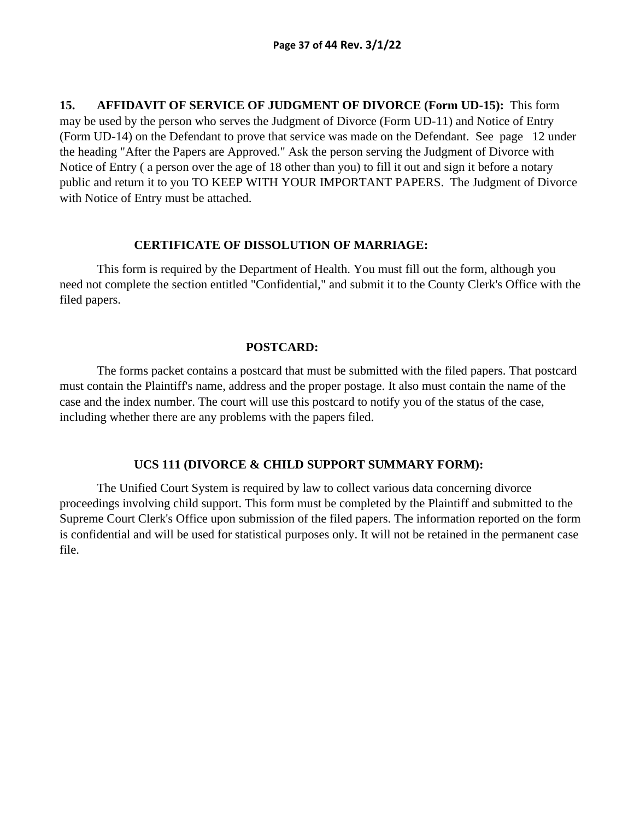**15. AFFIDAVIT OF SERVICE OF JUDGMENT OF DIVORCE (Form UD-15):** This form may be used by the person who serves the Judgment of Divorce (Form UD-11) and Notice of Entry (Form UD-14) on the Defendant to prove that service was made on the Defendant. See page 12 under the heading "After the Papers are Approved." Ask the person serving the Judgment of Divorce with Notice of Entry ( a person over the age of 18 other than you) to fill it out and sign it before a notary public and return it to you TO KEEP WITH YOUR IMPORTANT PAPERS. The Judgment of Divorce with Notice of Entry must be attached.

#### **CERTIFICATE OF DISSOLUTION OF MARRIAGE:**

This form is required by the Department of Health. You must fill out the form, although you need not complete the section entitled "Confidential," and submit it to the County Clerk's Office with the filed papers.

#### **POSTCARD:**

The forms packet contains a postcard that must be submitted with the filed papers. That postcard must contain the Plaintiff's name, address and the proper postage. It also must contain the name of the case and the index number. The court will use this postcard to notify you of the status of the case, including whether there are any problems with the papers filed.

#### **UCS 111 (DIVORCE & CHILD SUPPORT SUMMARY FORM):**

The Unified Court System is required by law to collect various data concerning divorce proceedings involving child support. This form must be completed by the Plaintiff and submitted to the Supreme Court Clerk's Office upon submission of the filed papers. The information reported on the form is confidential and will be used for statistical purposes only. It will not be retained in the permanent case file.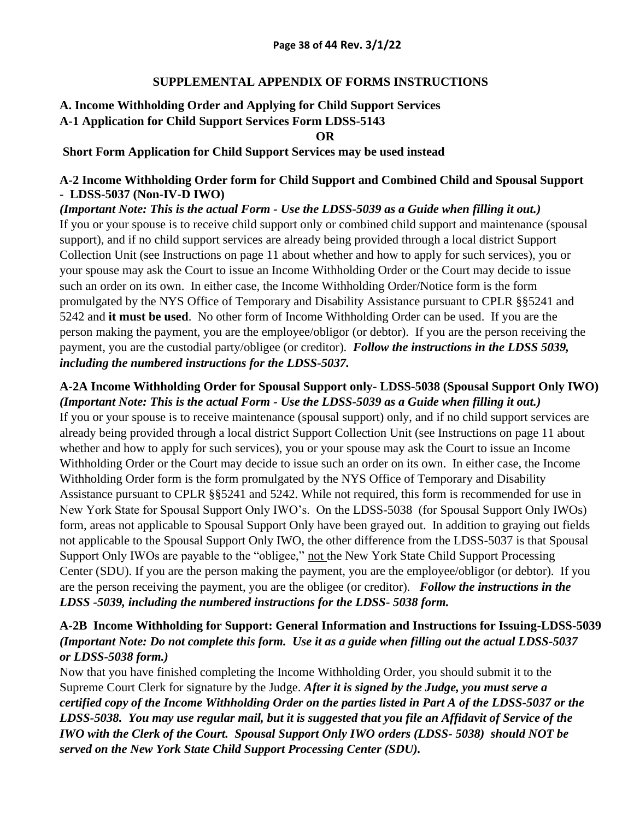#### **SUPPLEMENTAL APPENDIX OF FORMS INSTRUCTIONS**

## **A. Income Withholding Order and Applying for Child Support Services A-1 Application for Child Support Services Form LDSS-5143**

**OR**

#### **Short Form Application for Child Support Services may be used instead**

#### **A-2 Income Withholding Order form for Child Support and Combined Child and Spousal Support - LDSS-5037 (Non-IV-D IWO)**

*(Important Note: This is the actual Form - Use the LDSS-5039 as a Guide when filling it out.)* If you or your spouse is to receive child support only or combined child support and maintenance (spousal support), and if no child support services are already being provided through a local district Support Collection Unit (see Instructions on page 11 about whether and how to apply for such services), you or your spouse may ask the Court to issue an Income Withholding Order or the Court may decide to issue such an order on its own. In either case, the Income Withholding Order/Notice form is the form promulgated by the NYS Office of Temporary and Disability Assistance pursuant to CPLR §§5241 and 5242 and **it must be used**. No other form of Income Withholding Order can be used. If you are the person making the payment, you are the employee/obligor (or debtor). If you are the person receiving the payment, you are the custodial party/obligee (or creditor). *Follow the instructions in the LDSS 5039, including the numbered instructions for the LDSS-5037.* 

## **A-2A Income Withholding Order for Spousal Support only- LDSS-5038 (Spousal Support Only IWO)**  *(Important Note: This is the actual Form - Use the LDSS-5039 as a Guide when filling it out.)*

If you or your spouse is to receive maintenance (spousal support) only, and if no child support services are already being provided through a local district Support Collection Unit (see Instructions on page 11 about whether and how to apply for such services), you or your spouse may ask the Court to issue an Income Withholding Order or the Court may decide to issue such an order on its own. In either case, the Income Withholding Order form is the form promulgated by the NYS Office of Temporary and Disability Assistance pursuant to CPLR §§5241 and 5242. While not required, this form is recommended for use in New York State for Spousal Support Only IWO's. On the LDSS-5038 (for Spousal Support Only IWOs) form, areas not applicable to Spousal Support Only have been grayed out. In addition to graying out fields not applicable to the Spousal Support Only IWO, the other difference from the LDSS-5037 is that Spousal Support Only IWOs are payable to the "obligee," not the New York State Child Support Processing Center (SDU). If you are the person making the payment, you are the employee/obligor (or debtor). If you are the person receiving the payment, you are the obligee (or creditor). *Follow the instructions in the LDSS -5039, including the numbered instructions for the LDSS- 5038 form.* 

## **A-2B Income Withholding for Support: General Information and Instructions for Issuing-LDSS-5039** *(Important Note: Do not complete this form. Use it as a guide when filling out the actual LDSS-5037 or LDSS-5038 form.)*

Now that you have finished completing the Income Withholding Order, you should submit it to the Supreme Court Clerk for signature by the Judge. *After it is signed by the Judge, you must serve a certified copy of the Income Withholding Order on the parties listed in Part A of the LDSS-5037 or the LDSS-5038. You may use regular mail, but it is suggested that you file an Affidavit of Service of the IWO with the Clerk of the Court. Spousal Support Only IWO orders (LDSS- 5038) should NOT be served on the New York State Child Support Processing Center (SDU).*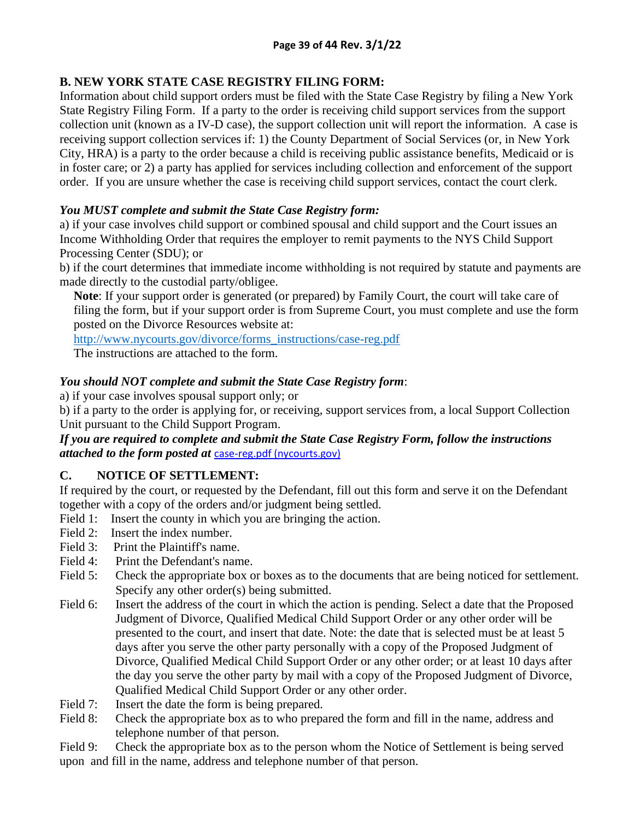## **B. NEW YORK STATE CASE REGISTRY FILING FORM:**

Information about child support orders must be filed with the State Case Registry by filing a New York State Registry Filing Form. If a party to the order is receiving child support services from the support collection unit (known as a IV-D case), the support collection unit will report the information. A case is receiving support collection services if: 1) the County Department of Social Services (or, in New York City, HRA) is a party to the order because a child is receiving public assistance benefits, Medicaid or is in foster care; or 2) a party has applied for services including collection and enforcement of the support order. If you are unsure whether the case is receiving child support services, contact the court clerk.

## *You MUST complete and submit the State Case Registry form:*

a) if your case involves child support or combined spousal and child support and the Court issues an Income Withholding Order that requires the employer to remit payments to the NYS Child Support Processing Center (SDU); or

b) if the court determines that immediate income withholding is not required by statute and payments are made directly to the custodial party/obligee.

**Note**: If your support order is generated (or prepared) by Family Court, the court will take care of filing the form, but if your support order is from Supreme Court, you must complete and use the form posted on the Divorce Resources website at:

[http://www.nycourts.gov/divorce/forms\\_instructions/case-reg.pdf](http://www.nycourts.gov/divorce/forms_instructions/case-reg.pdf)

The instructions are attached to the form*.*

## *You should NOT complete and submit the State Case Registry form*:

a) if your case involves spousal support only; or

b) if a party to the order is applying for, or receiving, support services from, a local Support Collection Unit pursuant to the Child Support Program.

### *If you are required to complete and submit the State Case Registry Form, follow the instructions attached to the form posted at* [case-reg.pdf \(nycourts.gov\)](https://www.nycourts.gov/LegacyPDFS/divorce/forms_instructions/case-reg.pdf)

## **C. NOTICE OF SETTLEMENT:**

If required by the court, or requested by the Defendant, fill out this form and serve it on the Defendant together with a copy of the orders and/or judgment being settled.

- Field 1: Insert the county in which you are bringing the action.
- Field 2: Insert the index number.
- Field 3: Print the Plaintiff's name.
- Field 4: Print the Defendant's name.
- Field 5: Check the appropriate box or boxes as to the documents that are being noticed for settlement. Specify any other order(s) being submitted.
- Field 6: Insert the address of the court in which the action is pending. Select a date that the Proposed Judgment of Divorce, Qualified Medical Child Support Order or any other order will be presented to the court, and insert that date. Note: the date that is selected must be at least 5 days after you serve the other party personally with a copy of the Proposed Judgment of Divorce, Qualified Medical Child Support Order or any other order; or at least 10 days after the day you serve the other party by mail with a copy of the Proposed Judgment of Divorce, Qualified Medical Child Support Order or any other order.
- Field 7: Insert the date the form is being prepared.
- Field 8: Check the appropriate box as to who prepared the form and fill in the name, address and telephone number of that person.
- Field 9: Check the appropriate box as to the person whom the Notice of Settlement is being served upon and fill in the name, address and telephone number of that person.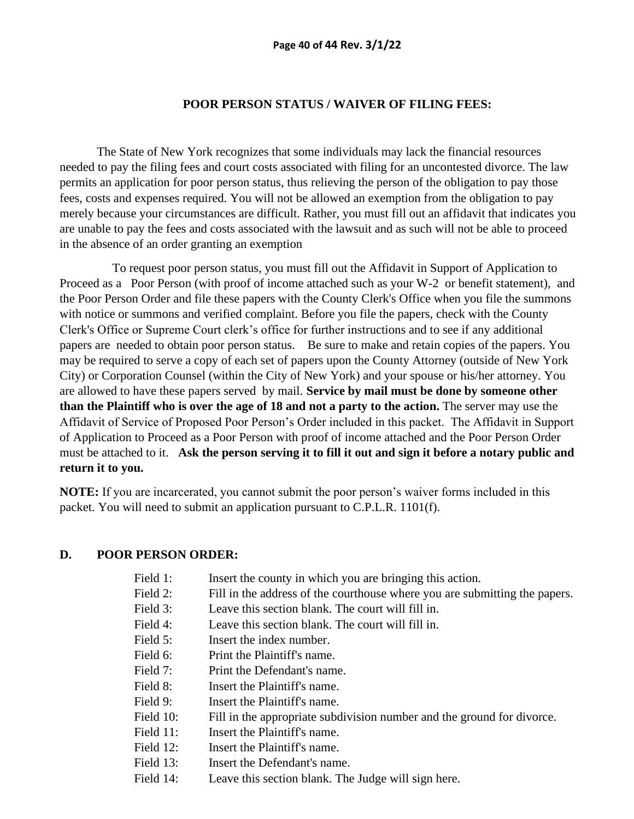#### **POOR PERSON STATUS / WAIVER OF FILING FEES:**

 The State of New York recognizes that some individuals may lack the financial resources needed to pay the filing fees and court costs associated with filing for an uncontested divorce. The law permits an application for poor person status, thus relieving the person of the obligation to pay those fees, costs and expenses required. You will not be allowed an exemption from the obligation to pay merely because your circumstances are difficult. Rather, you must fill out an affidavit that indicates you are unable to pay the fees and costs associated with the lawsuit and as such will not be able to proceed in the absence of an order granting an exemption

 To request poor person status, you must fill out the Affidavit in Support of Application to Proceed as a Poor Person (with proof of income attached such as your W-2 or benefit statement), and the Poor Person Order and file these papers with the County Clerk's Office when you file the summons with notice or summons and verified complaint. Before you file the papers, check with the County Clerk's Office or Supreme Court clerk's office for further instructions and to see if any additional papers are needed to obtain poor person status. Be sure to make and retain copies of the papers. You may be required to serve a copy of each set of papers upon the County Attorney (outside of New York City) or Corporation Counsel (within the City of New York) and your spouse or his/her attorney. You are allowed to have these papers served by mail. **Service by mail must be done by someone other than the Plaintiff who is over the age of 18 and not a party to the action.** The server may use the Affidavit of Service of Proposed Poor Person's Order included in this packet. The Affidavit in Support of Application to Proceed as a Poor Person with proof of income attached and the Poor Person Order must be attached to it. **Ask the person serving it to fill it out and sign it before a notary public and return it to you.** 

**NOTE:** If you are incarcerated, you cannot submit the poor person's waiver forms included in this packet. You will need to submit an application pursuant to C.P.L.R. 1101(f).

#### **D. POOR PERSON ORDER:**

- Field 1: Insert the county in which you are bringing this action.
- Field 2: Fill in the address of the courthouse where you are submitting the papers.
- Field 3: Leave this section blank. The court will fill in.
- Field 4: Leave this section blank. The court will fill in.
- Field 5: **Insert the index number.**
- Field 6: Print the Plaintiff's name.
- Field 7: Print the Defendant's name.
- Field 8: **Insert the Plaintiff's name.**
- Field 9: Insert the Plaintiff's name.
- Field 10: Fill in the appropriate subdivision number and the ground for divorce.
- Field 11: **Insert the Plaintiff's name.**
- Field 12: **Insert the Plaintiff's name.**
- Field 13: Insert the Defendant's name.
- Field 14: Leave this section blank. The Judge will sign here.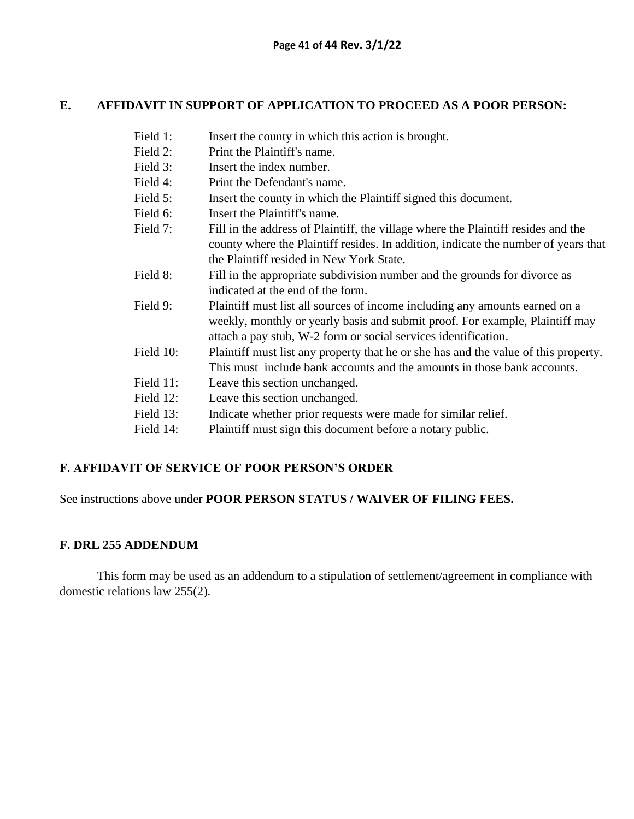#### **E. AFFIDAVIT IN SUPPORT OF APPLICATION TO PROCEED AS A POOR PERSON:**

- Field 1: Insert the county in which this action is brought.
- Field 2: Print the Plaintiff's name.
- Field 3: **Insert the index number.**
- Field 4: Print the Defendant's name.
- Field 5: Insert the county in which the Plaintiff signed this document.
- Field 6: Insert the Plaintiff's name.
- Field 7: Fill in the address of Plaintiff, the village where the Plaintiff resides and the county where the Plaintiff resides. In addition, indicate the number of years that the Plaintiff resided in New York State.
- Field 8: Fill in the appropriate subdivision number and the grounds for divorce as indicated at the end of the form.
- Field 9: Plaintiff must list all sources of income including any amounts earned on a weekly, monthly or yearly basis and submit proof. For example, Plaintiff may attach a pay stub, W-2 form or social services identification.
- Field 10: Plaintiff must list any property that he or she has and the value of this property. This must include bank accounts and the amounts in those bank accounts.
- Field 11: Leave this section unchanged.
- Field 12: Leave this section unchanged.
- Field 13: Indicate whether prior requests were made for similar relief.
- Field 14: Plaintiff must sign this document before a notary public.

#### **F. AFFIDAVIT OF SERVICE OF POOR PERSON'S ORDER**

See instructions above under **POOR PERSON STATUS / WAIVER OF FILING FEES.**

#### **F. DRL 255 ADDENDUM**

This form may be used as an addendum to a stipulation of settlement/agreement in compliance with domestic relations law 255(2).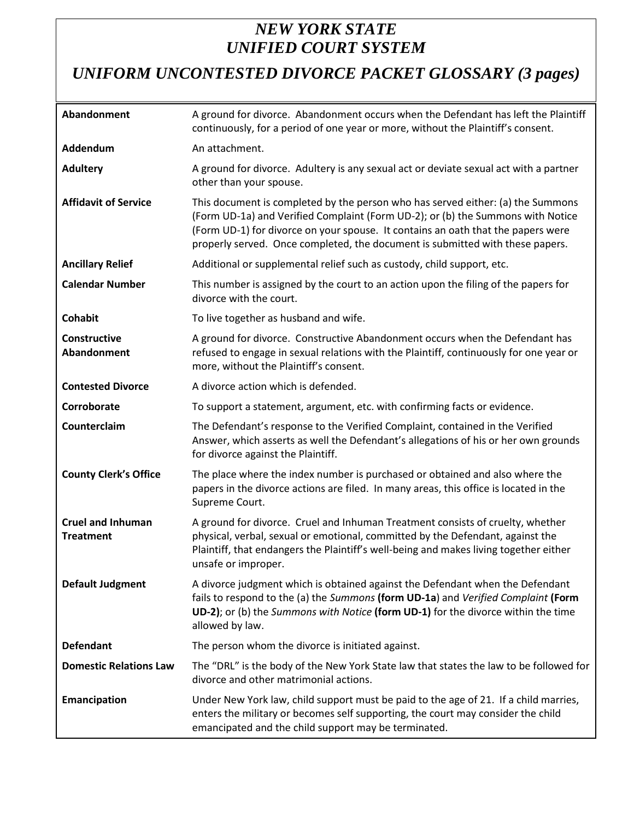## *NEW YORK STATE UNIFIED COURT SYSTEM*

# *UNIFORM UNCONTESTED DIVORCE PACKET GLOSSARY (3 pages)*

| Abandonment                                  | A ground for divorce. Abandonment occurs when the Defendant has left the Plaintiff<br>continuously, for a period of one year or more, without the Plaintiff's consent.                                                                                                                                                                  |
|----------------------------------------------|-----------------------------------------------------------------------------------------------------------------------------------------------------------------------------------------------------------------------------------------------------------------------------------------------------------------------------------------|
| Addendum                                     | An attachment.                                                                                                                                                                                                                                                                                                                          |
| <b>Adultery</b>                              | A ground for divorce. Adultery is any sexual act or deviate sexual act with a partner<br>other than your spouse.                                                                                                                                                                                                                        |
| <b>Affidavit of Service</b>                  | This document is completed by the person who has served either: (a) the Summons<br>(Form UD-1a) and Verified Complaint (Form UD-2); or (b) the Summons with Notice<br>(Form UD-1) for divorce on your spouse. It contains an oath that the papers were<br>properly served. Once completed, the document is submitted with these papers. |
| <b>Ancillary Relief</b>                      | Additional or supplemental relief such as custody, child support, etc.                                                                                                                                                                                                                                                                  |
| <b>Calendar Number</b>                       | This number is assigned by the court to an action upon the filing of the papers for<br>divorce with the court.                                                                                                                                                                                                                          |
| <b>Cohabit</b>                               | To live together as husband and wife.                                                                                                                                                                                                                                                                                                   |
| Constructive<br>Abandonment                  | A ground for divorce. Constructive Abandonment occurs when the Defendant has<br>refused to engage in sexual relations with the Plaintiff, continuously for one year or<br>more, without the Plaintiff's consent.                                                                                                                        |
| <b>Contested Divorce</b>                     | A divorce action which is defended.                                                                                                                                                                                                                                                                                                     |
| Corroborate                                  | To support a statement, argument, etc. with confirming facts or evidence.                                                                                                                                                                                                                                                               |
| Counterclaim                                 | The Defendant's response to the Verified Complaint, contained in the Verified<br>Answer, which asserts as well the Defendant's allegations of his or her own grounds<br>for divorce against the Plaintiff.                                                                                                                              |
| <b>County Clerk's Office</b>                 | The place where the index number is purchased or obtained and also where the<br>papers in the divorce actions are filed. In many areas, this office is located in the<br>Supreme Court.                                                                                                                                                 |
| <b>Cruel and Inhuman</b><br><b>Treatment</b> | A ground for divorce. Cruel and Inhuman Treatment consists of cruelty, whether<br>physical, verbal, sexual or emotional, committed by the Defendant, against the<br>Plaintiff, that endangers the Plaintiff's well-being and makes living together either<br>unsafe or improper.                                                        |
| <b>Default Judgment</b>                      | A divorce judgment which is obtained against the Defendant when the Defendant<br>fails to respond to the (a) the Summons (form UD-1a) and Verified Complaint (Form<br>UD-2); or (b) the Summons with Notice (form UD-1) for the divorce within the time<br>allowed by law.                                                              |
| <b>Defendant</b>                             | The person whom the divorce is initiated against.                                                                                                                                                                                                                                                                                       |
| <b>Domestic Relations Law</b>                | The "DRL" is the body of the New York State law that states the law to be followed for<br>divorce and other matrimonial actions.                                                                                                                                                                                                        |
| Emancipation                                 | Under New York law, child support must be paid to the age of 21. If a child marries,<br>enters the military or becomes self supporting, the court may consider the child<br>emancipated and the child support may be terminated.                                                                                                        |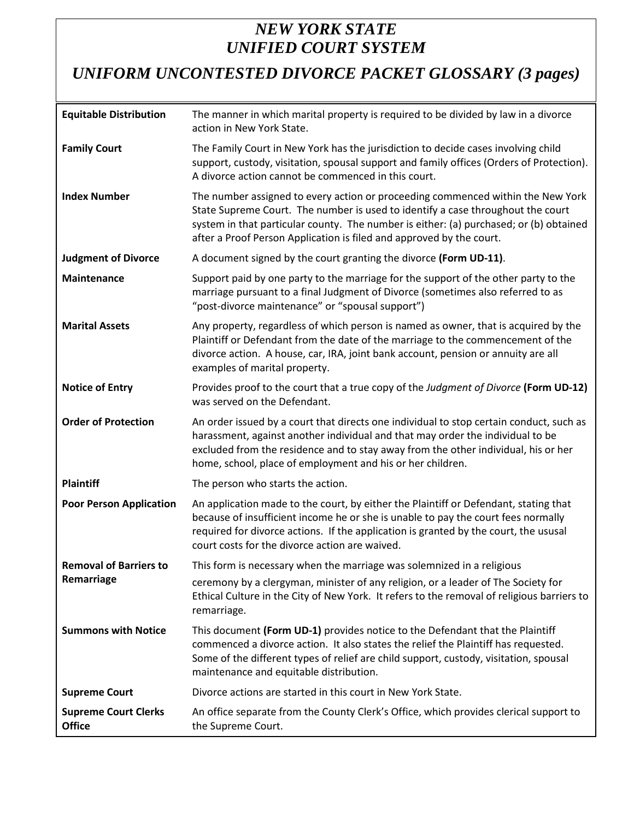## *NEW YORK STATE UNIFIED COURT SYSTEM*

*UNIFORM UNCONTESTED DIVORCE PACKET GLOSSARY (3 pages)*

| <b>Equitable Distribution</b>                | The manner in which marital property is required to be divided by law in a divorce<br>action in New York State.                                                                                                                                                                                                                      |
|----------------------------------------------|--------------------------------------------------------------------------------------------------------------------------------------------------------------------------------------------------------------------------------------------------------------------------------------------------------------------------------------|
| <b>Family Court</b>                          | The Family Court in New York has the jurisdiction to decide cases involving child<br>support, custody, visitation, spousal support and family offices (Orders of Protection).<br>A divorce action cannot be commenced in this court.                                                                                                 |
| <b>Index Number</b>                          | The number assigned to every action or proceeding commenced within the New York<br>State Supreme Court. The number is used to identify a case throughout the court<br>system in that particular county. The number is either: (a) purchased; or (b) obtained<br>after a Proof Person Application is filed and approved by the court. |
| <b>Judgment of Divorce</b>                   | A document signed by the court granting the divorce (Form UD-11).                                                                                                                                                                                                                                                                    |
| <b>Maintenance</b>                           | Support paid by one party to the marriage for the support of the other party to the<br>marriage pursuant to a final Judgment of Divorce (sometimes also referred to as<br>"post-divorce maintenance" or "spousal support")                                                                                                           |
| <b>Marital Assets</b>                        | Any property, regardless of which person is named as owner, that is acquired by the<br>Plaintiff or Defendant from the date of the marriage to the commencement of the<br>divorce action. A house, car, IRA, joint bank account, pension or annuity are all<br>examples of marital property.                                         |
| <b>Notice of Entry</b>                       | Provides proof to the court that a true copy of the Judgment of Divorce (Form UD-12)<br>was served on the Defendant.                                                                                                                                                                                                                 |
| <b>Order of Protection</b>                   | An order issued by a court that directs one individual to stop certain conduct, such as<br>harassment, against another individual and that may order the individual to be<br>excluded from the residence and to stay away from the other individual, his or her<br>home, school, place of employment and his or her children.        |
| <b>Plaintiff</b>                             | The person who starts the action.                                                                                                                                                                                                                                                                                                    |
| <b>Poor Person Application</b>               | An application made to the court, by either the Plaintiff or Defendant, stating that<br>because of insufficient income he or she is unable to pay the court fees normally<br>required for divorce actions. If the application is granted by the court, the ususal<br>court costs for the divorce action are waived.                  |
| <b>Removal of Barriers to</b>                | This form is necessary when the marriage was solemnized in a religious                                                                                                                                                                                                                                                               |
| Remarriage                                   | ceremony by a clergyman, minister of any religion, or a leader of The Society for<br>Ethical Culture in the City of New York. It refers to the removal of religious barriers to<br>remarriage.                                                                                                                                       |
| <b>Summons with Notice</b>                   | This document (Form UD-1) provides notice to the Defendant that the Plaintiff<br>commenced a divorce action. It also states the relief the Plaintiff has requested.<br>Some of the different types of relief are child support, custody, visitation, spousal<br>maintenance and equitable distribution.                              |
| <b>Supreme Court</b>                         | Divorce actions are started in this court in New York State.                                                                                                                                                                                                                                                                         |
| <b>Supreme Court Clerks</b><br><b>Office</b> | An office separate from the County Clerk's Office, which provides clerical support to<br>the Supreme Court.                                                                                                                                                                                                                          |